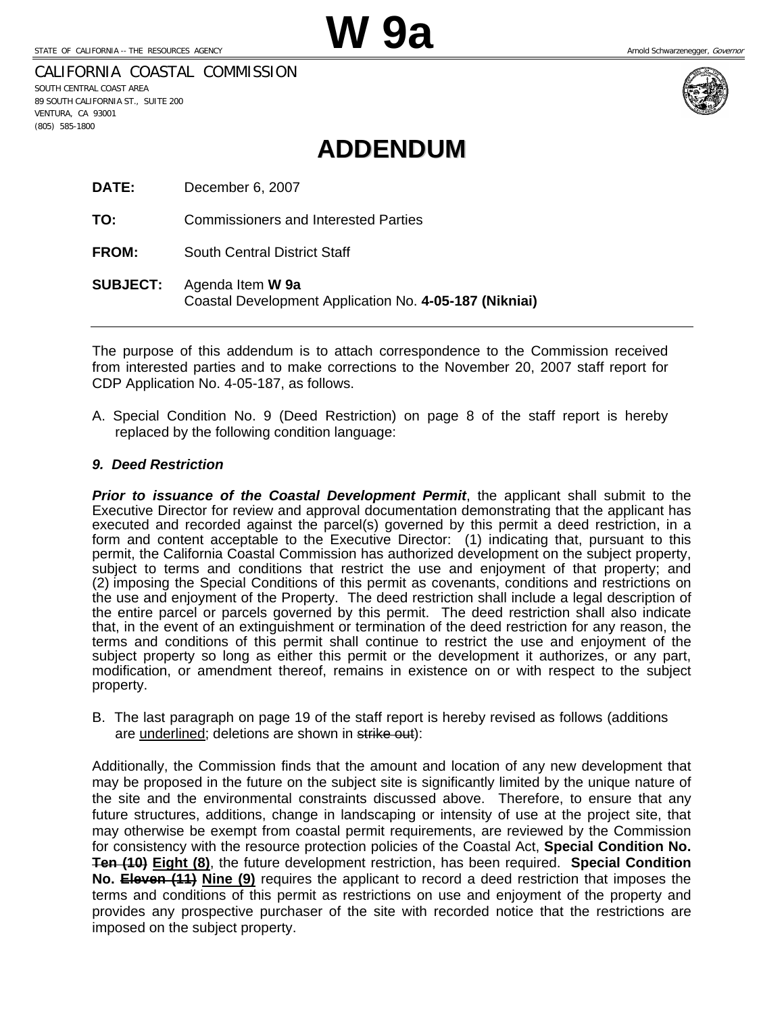CALIFORNIA COASTAL COMMISSION

SOUTH CENTRAL COAST AREA 89 SOUTH CALIFORNIA ST., SUITE 200 VENTURA, CA 93001 (805) 585-1800



# **ADDENDUM**

**DATE:** December 6, 2007

**TO:** Commissioners and Interested Parties

**FROM:** South Central District Staff

**SUBJECT:** Agenda Item **W 9a**  Coastal Development Application No. **4-05-187 (Nikniai)** 

The purpose of this addendum is to attach correspondence to the Commission received from interested parties and to make corrections to the November 20, 2007 staff report for CDP Application No. 4-05-187, as follows.

A. Special Condition No. 9 (Deed Restriction) on page 8 of the staff report is hereby replaced by the following condition language:

#### *9. Deed Restriction*

*Prior to issuance of the Coastal Development Permit*, the applicant shall submit to the Executive Director for review and approval documentation demonstrating that the applicant has executed and recorded against the parcel(s) governed by this permit a deed restriction, in a form and content acceptable to the Executive Director: (1) indicating that, pursuant to this permit, the California Coastal Commission has authorized development on the subject property, subject to terms and conditions that restrict the use and enjoyment of that property; and (2) imposing the Special Conditions of this permit as covenants, conditions and restrictions on the use and enjoyment of the Property. The deed restriction shall include a legal description of the entire parcel or parcels governed by this permit. The deed restriction shall also indicate that, in the event of an extinguishment or termination of the deed restriction for any reason, the terms and conditions of this permit shall continue to restrict the use and enjoyment of the subject property so long as either this permit or the development it authorizes, or any part, modification, or amendment thereof, remains in existence on or with respect to the subject property.

B. The last paragraph on page 19 of the staff report is hereby revised as follows (additions are underlined; deletions are shown in strike out):

Additionally, the Commission finds that the amount and location of any new development that may be proposed in the future on the subject site is significantly limited by the unique nature of the site and the environmental constraints discussed above. Therefore, to ensure that any future structures, additions, change in landscaping or intensity of use at the project site, that may otherwise be exempt from coastal permit requirements, are reviewed by the Commission for consistency with the resource protection policies of the Coastal Act, **Special Condition No. Ten (10) Eight (8)**, the future development restriction, has been required. **Special Condition No. Eleven (11) Nine (9)** requires the applicant to record a deed restriction that imposes the terms and conditions of this permit as restrictions on use and enjoyment of the property and provides any prospective purchaser of the site with recorded notice that the restrictions are imposed on the subject property.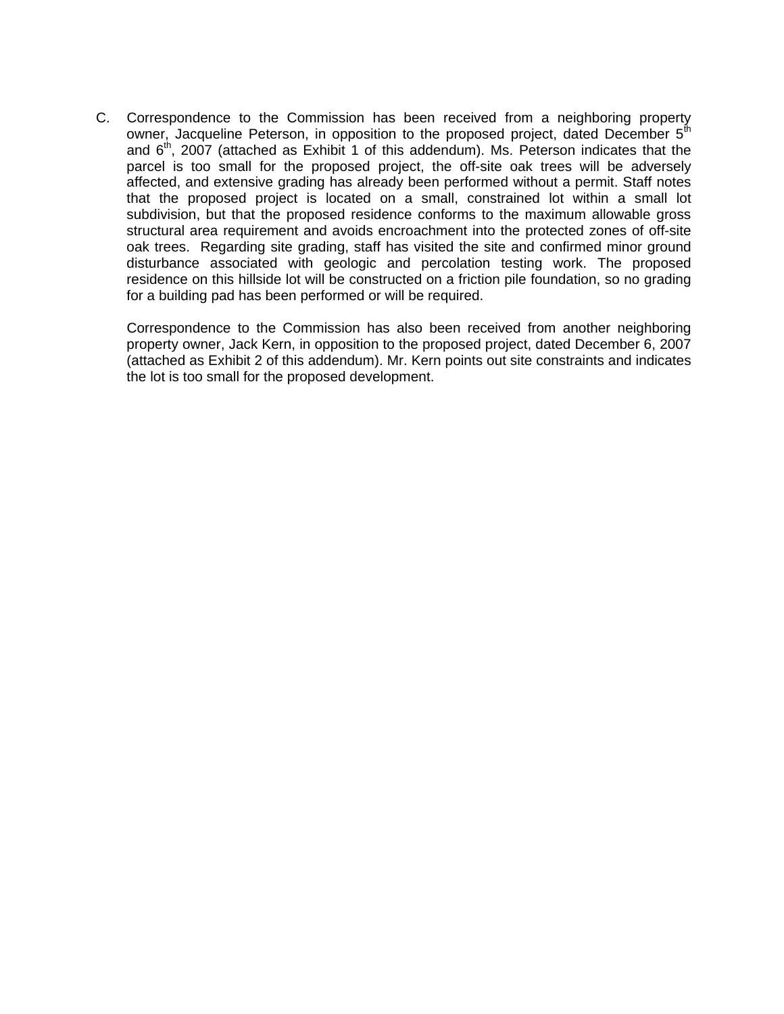C. Correspondence to the Commission has been received from a neighboring property owner, Jacqueline Peterson, in opposition to the proposed project, dated December 5<sup>th</sup> and  $6<sup>th</sup>$ , 2007 (attached as Exhibit 1 of this addendum). Ms. Peterson indicates that the parcel is too small for the proposed project, the off-site oak trees will be adversely affected, and extensive grading has already been performed without a permit. Staff notes that the proposed project is located on a small, constrained lot within a small lot subdivision, but that the proposed residence conforms to the maximum allowable gross structural area requirement and avoids encroachment into the protected zones of off-site oak trees. Regarding site grading, staff has visited the site and confirmed minor ground disturbance associated with geologic and percolation testing work. The proposed residence on this hillside lot will be constructed on a friction pile foundation, so no grading for a building pad has been performed or will be required.

Correspondence to the Commission has also been received from another neighboring property owner, Jack Kern, in opposition to the proposed project, dated December 6, 2007 (attached as Exhibit 2 of this addendum). Mr. Kern points out site constraints and indicates the lot is too small for the proposed development.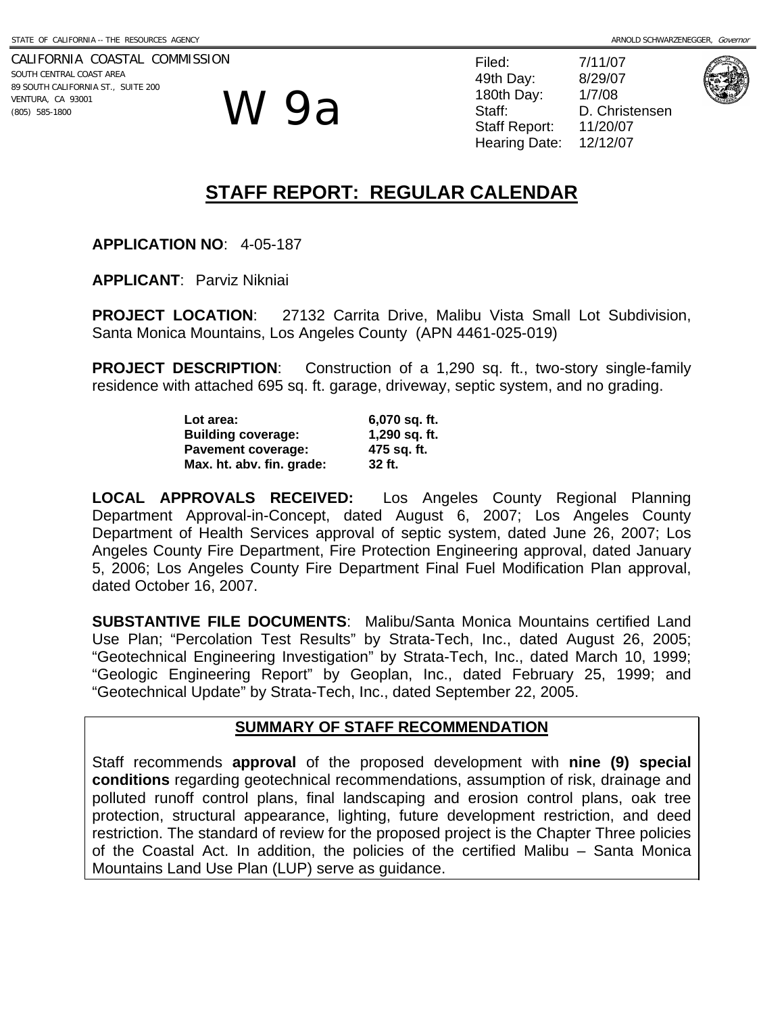CALIFORNIA COASTAL COMMISSION SOUTH CENTRAL COAST AREA 89 SOUTH CALIFORNIA ST., SUITE 200 VENTURA, CA 93001 (805) 585-1800

W 9a

Filed: 7/11/07 49th Day: 8/29/07 180th Day: 1/7/08 Staff: D. Christensen Staff Report: 11/20/07 Hearing Date: 12/12/07



# **STAFF REPORT: REGULAR CALENDAR**

**APPLICATION NO**: 4-05-187

**APPLICANT**: Parviz Nikniai

**PROJECT LOCATION**: 27132 Carrita Drive, Malibu Vista Small Lot Subdivision, Santa Monica Mountains, Los Angeles County (APN 4461-025-019)

**PROJECT DESCRIPTION:** Construction of a 1,290 sq. ft., two-story single-family residence with attached 695 sq. ft. garage, driveway, septic system, and no grading.

| Lot area:                 | 6,070 sq. ft. |
|---------------------------|---------------|
| <b>Building coverage:</b> | 1,290 sq. ft. |
| <b>Pavement coverage:</b> | 475 sq. ft.   |
| Max. ht. abv. fin. grade: | 32 ft.        |

**LOCAL APPROVALS RECEIVED:** Los Angeles County Regional Planning Department Approval-in-Concept, dated August 6, 2007; Los Angeles County Department of Health Services approval of septic system, dated June 26, 2007; Los Angeles County Fire Department, Fire Protection Engineering approval, dated January 5, 2006; Los Angeles County Fire Department Final Fuel Modification Plan approval, dated October 16, 2007.

**SUBSTANTIVE FILE DOCUMENTS**: Malibu/Santa Monica Mountains certified Land Use Plan; "Percolation Test Results" by Strata-Tech, Inc., dated August 26, 2005; "Geotechnical Engineering Investigation" by Strata-Tech, Inc., dated March 10, 1999; "Geologic Engineering Report" by Geoplan, Inc., dated February 25, 1999; and "Geotechnical Update" by Strata-Tech, Inc., dated September 22, 2005.

### **SUMMARY OF STAFF RECOMMENDATION**

Staff recommends **approval** of the proposed development with **nine (9) special conditions** regarding geotechnical recommendations, assumption of risk, drainage and polluted runoff control plans, final landscaping and erosion control plans, oak tree protection, structural appearance, lighting, future development restriction, and deed restriction. The standard of review for the proposed project is the Chapter Three policies of the Coastal Act. In addition, the policies of the certified Malibu – Santa Monica Mountains Land Use Plan (LUP) serve as guidance.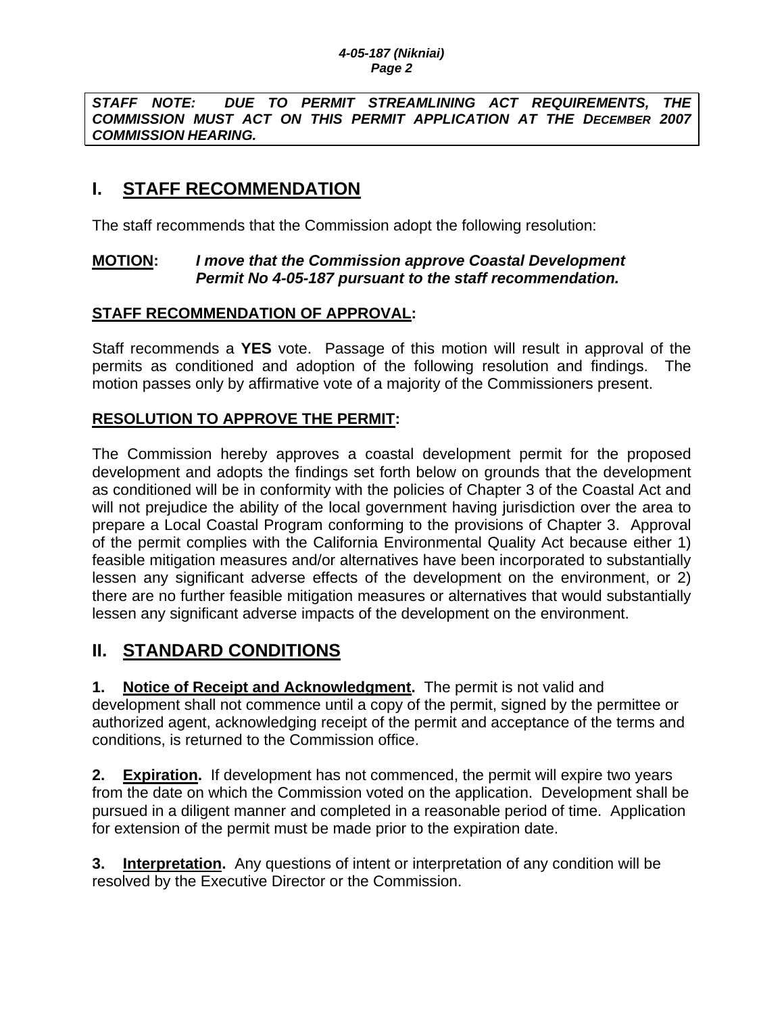*STAFF NOTE: DUE TO PERMIT STREAMLINING ACT REQUIREMENTS, THE COMMISSION MUST ACT ON THIS PERMIT APPLICATION AT THE DECEMBER 2007 COMMISSION HEARING.* 

# **I. STAFF RECOMMENDATION**

The staff recommends that the Commission adopt the following resolution:

## **MOTION:** *I move that the Commission approve Coastal Development Permit No 4-05-187 pursuant to the staff recommendation.*

## **STAFF RECOMMENDATION OF APPROVAL:**

Staff recommends a **YES** vote. Passage of this motion will result in approval of the permits as conditioned and adoption of the following resolution and findings. The motion passes only by affirmative vote of a majority of the Commissioners present.

## **RESOLUTION TO APPROVE THE PERMIT:**

The Commission hereby approves a coastal development permit for the proposed development and adopts the findings set forth below on grounds that the development as conditioned will be in conformity with the policies of Chapter 3 of the Coastal Act and will not prejudice the ability of the local government having jurisdiction over the area to prepare a Local Coastal Program conforming to the provisions of Chapter 3. Approval of the permit complies with the California Environmental Quality Act because either 1) feasible mitigation measures and/or alternatives have been incorporated to substantially lessen any significant adverse effects of the development on the environment, or 2) there are no further feasible mitigation measures or alternatives that would substantially lessen any significant adverse impacts of the development on the environment.

# **II. STANDARD CONDITIONS**

**1. Notice of Receipt and Acknowledgment.** The permit is not valid and development shall not commence until a copy of the permit, signed by the permittee or authorized agent, acknowledging receipt of the permit and acceptance of the terms and conditions, is returned to the Commission office.

**2. Expiration.** If development has not commenced, the permit will expire two years from the date on which the Commission voted on the application. Development shall be pursued in a diligent manner and completed in a reasonable period of time. Application for extension of the permit must be made prior to the expiration date.

**3. Interpretation.** Any questions of intent or interpretation of any condition will be resolved by the Executive Director or the Commission.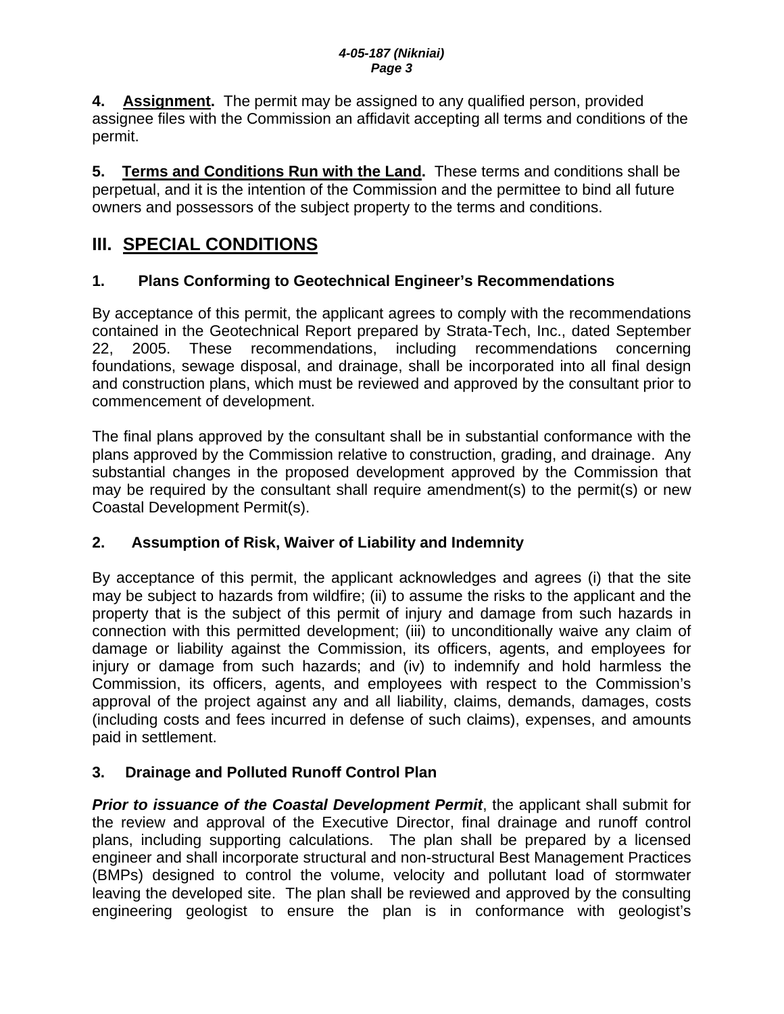**4. Assignment.** The permit may be assigned to any qualified person, provided assignee files with the Commission an affidavit accepting all terms and conditions of the permit.

**5. Terms and Conditions Run with the Land.** These terms and conditions shall be perpetual, and it is the intention of the Commission and the permittee to bind all future owners and possessors of the subject property to the terms and conditions.

# **III. SPECIAL CONDITIONS**

# **1. Plans Conforming to Geotechnical Engineer's Recommendations**

By acceptance of this permit, the applicant agrees to comply with the recommendations contained in the Geotechnical Report prepared by Strata-Tech, Inc., dated September 22, 2005. These recommendations, including recommendations concerning foundations, sewage disposal, and drainage, shall be incorporated into all final design and construction plans, which must be reviewed and approved by the consultant prior to commencement of development.

The final plans approved by the consultant shall be in substantial conformance with the plans approved by the Commission relative to construction, grading, and drainage. Any substantial changes in the proposed development approved by the Commission that may be required by the consultant shall require amendment(s) to the permit(s) or new Coastal Development Permit(s).

# **2. Assumption of Risk, Waiver of Liability and Indemnity**

By acceptance of this permit, the applicant acknowledges and agrees (i) that the site may be subject to hazards from wildfire; (ii) to assume the risks to the applicant and the property that is the subject of this permit of injury and damage from such hazards in connection with this permitted development; (iii) to unconditionally waive any claim of damage or liability against the Commission, its officers, agents, and employees for injury or damage from such hazards; and (iv) to indemnify and hold harmless the Commission, its officers, agents, and employees with respect to the Commission's approval of the project against any and all liability, claims, demands, damages, costs (including costs and fees incurred in defense of such claims), expenses, and amounts paid in settlement.

# **3. Drainage and Polluted Runoff Control Plan**

*Prior to issuance of the Coastal Development Permit*, the applicant shall submit for the review and approval of the Executive Director, final drainage and runoff control plans, including supporting calculations. The plan shall be prepared by a licensed engineer and shall incorporate structural and non-structural Best Management Practices (BMPs) designed to control the volume, velocity and pollutant load of stormwater leaving the developed site. The plan shall be reviewed and approved by the consulting engineering geologist to ensure the plan is in conformance with geologist's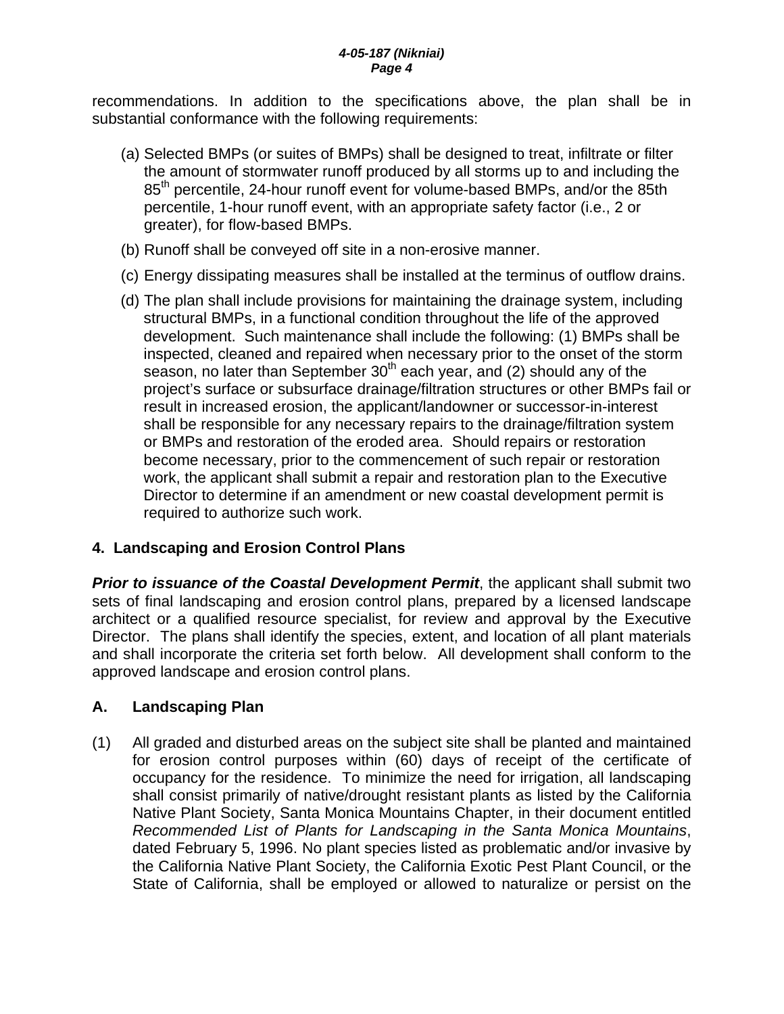recommendations. In addition to the specifications above, the plan shall be in substantial conformance with the following requirements:

- (a) Selected BMPs (or suites of BMPs) shall be designed to treat, infiltrate or filter the amount of stormwater runoff produced by all storms up to and including the 85<sup>th</sup> percentile, 24-hour runoff event for volume-based BMPs, and/or the 85th percentile, 1-hour runoff event, with an appropriate safety factor (i.e., 2 or greater), for flow-based BMPs.
- (b) Runoff shall be conveyed off site in a non-erosive manner.
- (c) Energy dissipating measures shall be installed at the terminus of outflow drains.
- (d) The plan shall include provisions for maintaining the drainage system, including structural BMPs, in a functional condition throughout the life of the approved development. Such maintenance shall include the following: (1) BMPs shall be inspected, cleaned and repaired when necessary prior to the onset of the storm season, no later than September  $30<sup>th</sup>$  each year, and (2) should any of the project's surface or subsurface drainage/filtration structures or other BMPs fail or result in increased erosion, the applicant/landowner or successor-in-interest shall be responsible for any necessary repairs to the drainage/filtration system or BMPs and restoration of the eroded area. Should repairs or restoration become necessary, prior to the commencement of such repair or restoration work, the applicant shall submit a repair and restoration plan to the Executive Director to determine if an amendment or new coastal development permit is required to authorize such work.

# **4. Landscaping and Erosion Control Plans**

*Prior to issuance of the Coastal Development Permit*, the applicant shall submit two sets of final landscaping and erosion control plans, prepared by a licensed landscape architect or a qualified resource specialist, for review and approval by the Executive Director. The plans shall identify the species, extent, and location of all plant materials and shall incorporate the criteria set forth below. All development shall conform to the approved landscape and erosion control plans.

## **A. Landscaping Plan**

(1) All graded and disturbed areas on the subject site shall be planted and maintained for erosion control purposes within (60) days of receipt of the certificate of occupancy for the residence. To minimize the need for irrigation, all landscaping shall consist primarily of native/drought resistant plants as listed by the California Native Plant Society, Santa Monica Mountains Chapter, in their document entitled *Recommended List of Plants for Landscaping in the Santa Monica Mountains*, dated February 5, 1996. No plant species listed as problematic and/or invasive by the California Native Plant Society, the California Exotic Pest Plant Council, or the State of California, shall be employed or allowed to naturalize or persist on the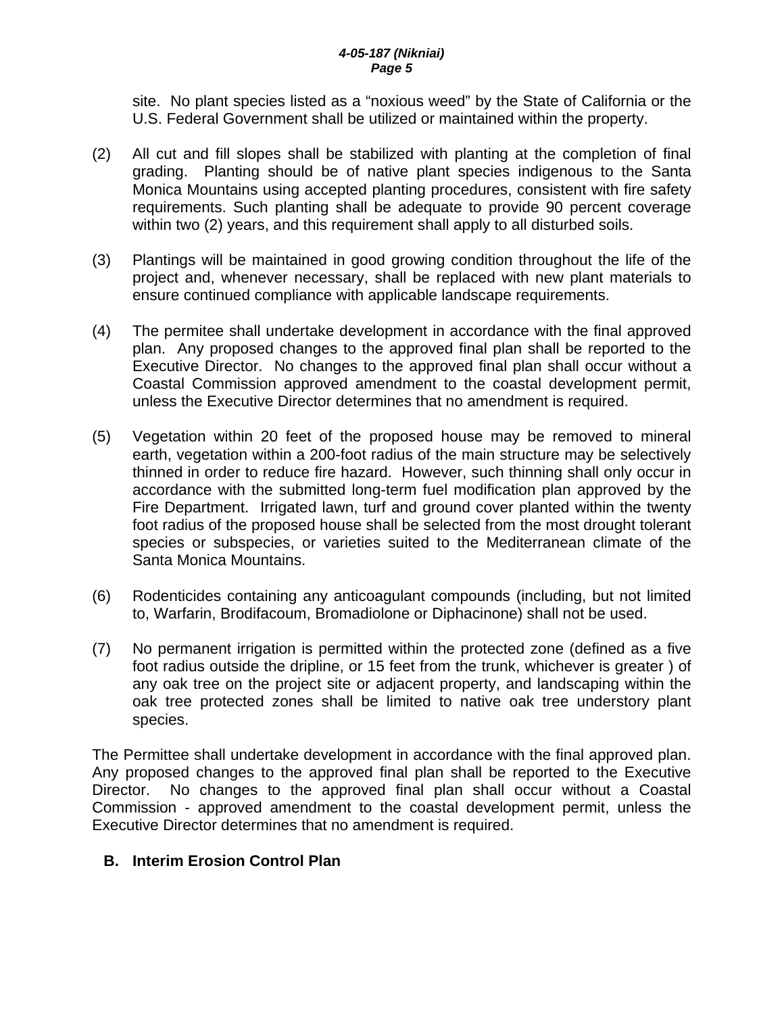site. No plant species listed as a "noxious weed" by the State of California or the U.S. Federal Government shall be utilized or maintained within the property.

- (2) All cut and fill slopes shall be stabilized with planting at the completion of final grading. Planting should be of native plant species indigenous to the Santa Monica Mountains using accepted planting procedures, consistent with fire safety requirements. Such planting shall be adequate to provide 90 percent coverage within two (2) years, and this requirement shall apply to all disturbed soils.
- (3) Plantings will be maintained in good growing condition throughout the life of the project and, whenever necessary, shall be replaced with new plant materials to ensure continued compliance with applicable landscape requirements.
- (4) The permitee shall undertake development in accordance with the final approved plan. Any proposed changes to the approved final plan shall be reported to the Executive Director. No changes to the approved final plan shall occur without a Coastal Commission approved amendment to the coastal development permit, unless the Executive Director determines that no amendment is required.
- (5) Vegetation within 20 feet of the proposed house may be removed to mineral earth, vegetation within a 200-foot radius of the main structure may be selectively thinned in order to reduce fire hazard. However, such thinning shall only occur in accordance with the submitted long-term fuel modification plan approved by the Fire Department. Irrigated lawn, turf and ground cover planted within the twenty foot radius of the proposed house shall be selected from the most drought tolerant species or subspecies, or varieties suited to the Mediterranean climate of the Santa Monica Mountains.
- (6) Rodenticides containing any anticoagulant compounds (including, but not limited to, Warfarin, Brodifacoum, Bromadiolone or Diphacinone) shall not be used.
- (7) No permanent irrigation is permitted within the protected zone (defined as a five foot radius outside the dripline, or 15 feet from the trunk, whichever is greater ) of any oak tree on the project site or adjacent property, and landscaping within the oak tree protected zones shall be limited to native oak tree understory plant species.

The Permittee shall undertake development in accordance with the final approved plan. Any proposed changes to the approved final plan shall be reported to the Executive Director. No changes to the approved final plan shall occur without a Coastal Commission - approved amendment to the coastal development permit, unless the Executive Director determines that no amendment is required.

## **B. Interim Erosion Control Plan**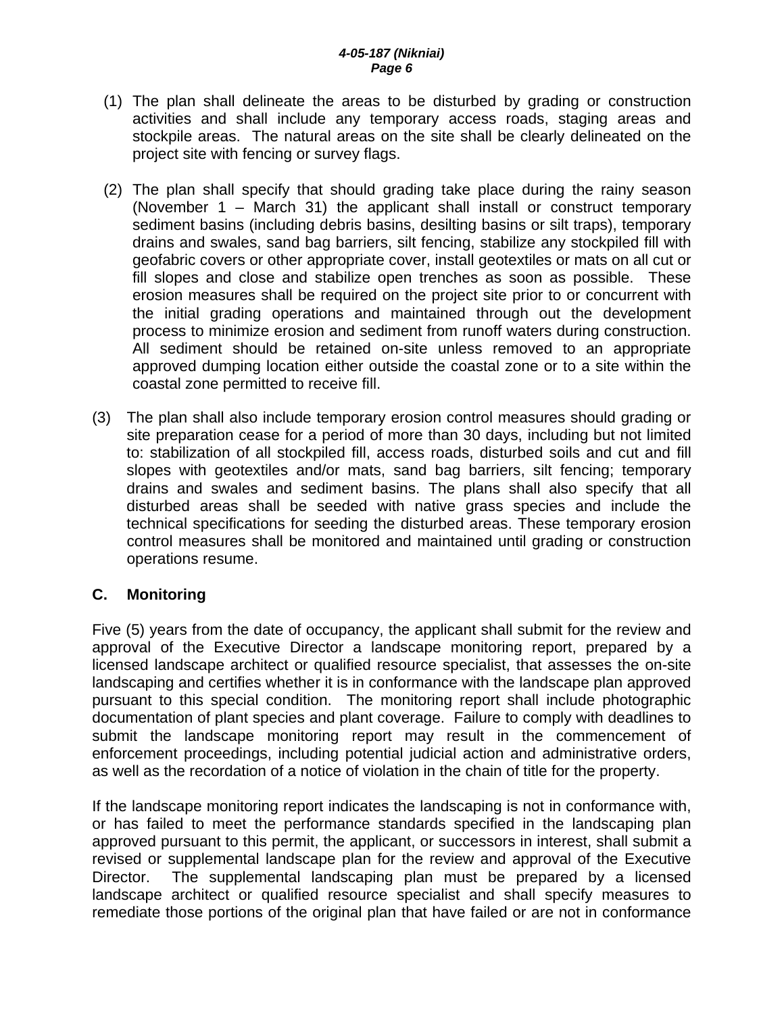- (1) The plan shall delineate the areas to be disturbed by grading or construction activities and shall include any temporary access roads, staging areas and stockpile areas. The natural areas on the site shall be clearly delineated on the project site with fencing or survey flags.
- (2) The plan shall specify that should grading take place during the rainy season (November 1 – March 31) the applicant shall install or construct temporary sediment basins (including debris basins, desilting basins or silt traps), temporary drains and swales, sand bag barriers, silt fencing, stabilize any stockpiled fill with geofabric covers or other appropriate cover, install geotextiles or mats on all cut or fill slopes and close and stabilize open trenches as soon as possible. These erosion measures shall be required on the project site prior to or concurrent with the initial grading operations and maintained through out the development process to minimize erosion and sediment from runoff waters during construction. All sediment should be retained on-site unless removed to an appropriate approved dumping location either outside the coastal zone or to a site within the coastal zone permitted to receive fill.
- (3) The plan shall also include temporary erosion control measures should grading or site preparation cease for a period of more than 30 days, including but not limited to: stabilization of all stockpiled fill, access roads, disturbed soils and cut and fill slopes with geotextiles and/or mats, sand bag barriers, silt fencing; temporary drains and swales and sediment basins. The plans shall also specify that all disturbed areas shall be seeded with native grass species and include the technical specifications for seeding the disturbed areas. These temporary erosion control measures shall be monitored and maintained until grading or construction operations resume.

### **C. Monitoring**

Five (5) years from the date of occupancy, the applicant shall submit for the review and approval of the Executive Director a landscape monitoring report, prepared by a licensed landscape architect or qualified resource specialist, that assesses the on-site landscaping and certifies whether it is in conformance with the landscape plan approved pursuant to this special condition. The monitoring report shall include photographic documentation of plant species and plant coverage. Failure to comply with deadlines to submit the landscape monitoring report may result in the commencement of enforcement proceedings, including potential judicial action and administrative orders, as well as the recordation of a notice of violation in the chain of title for the property.

If the landscape monitoring report indicates the landscaping is not in conformance with, or has failed to meet the performance standards specified in the landscaping plan approved pursuant to this permit, the applicant, or successors in interest, shall submit a revised or supplemental landscape plan for the review and approval of the Executive Director. The supplemental landscaping plan must be prepared by a licensed landscape architect or qualified resource specialist and shall specify measures to remediate those portions of the original plan that have failed or are not in conformance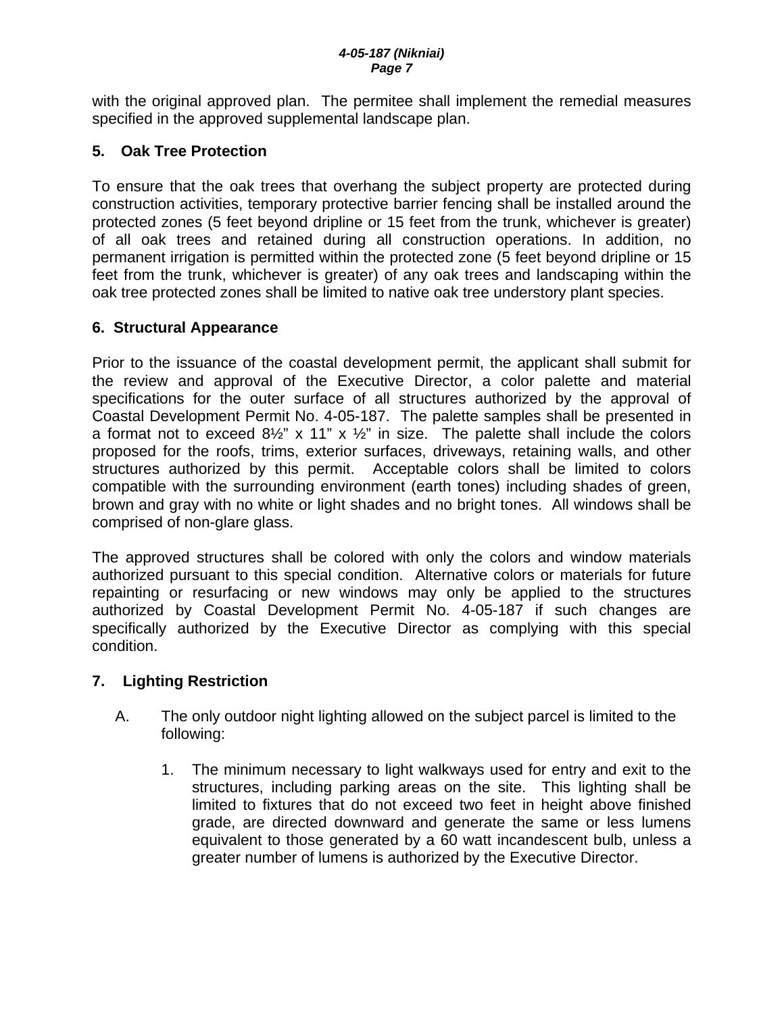with the original approved plan. The permitee shall implement the remedial measures specified in the approved supplemental landscape plan.

## **5. Oak Tree Protection**

To ensure that the oak trees that overhang the subject property are protected during construction activities, temporary protective barrier fencing shall be installed around the protected zones (5 feet beyond dripline or 15 feet from the trunk, whichever is greater) of all oak trees and retained during all construction operations. In addition, no permanent irrigation is permitted within the protected zone (5 feet beyond dripline or 15 feet from the trunk, whichever is greater) of any oak trees and landscaping within the oak tree protected zones shall be limited to native oak tree understory plant species.

## **6. Structural Appearance**

Prior to the issuance of the coastal development permit, the applicant shall submit for the review and approval of the Executive Director, a color palette and material specifications for the outer surface of all structures authorized by the approval of Coastal Development Permit No. 4-05-187. The palette samples shall be presented in a format not to exceed  $8\frac{1}{2}$ " x 11" x  $\frac{1}{2}$ " in size. The palette shall include the colors proposed for the roofs, trims, exterior surfaces, driveways, retaining walls, and other structures authorized by this permit. Acceptable colors shall be limited to colors compatible with the surrounding environment (earth tones) including shades of green, brown and gray with no white or light shades and no bright tones. All windows shall be comprised of non-glare glass.

The approved structures shall be colored with only the colors and window materials authorized pursuant to this special condition. Alternative colors or materials for future repainting or resurfacing or new windows may only be applied to the structures authorized by Coastal Development Permit No. 4-05-187 if such changes are specifically authorized by the Executive Director as complying with this special condition.

## **7. Lighting Restriction**

- A. The only outdoor night lighting allowed on the subject parcel is limited to the following:
	- 1. The minimum necessary to light walkways used for entry and exit to the structures, including parking areas on the site. This lighting shall be limited to fixtures that do not exceed two feet in height above finished grade, are directed downward and generate the same or less lumens equivalent to those generated by a 60 watt incandescent bulb, unless a greater number of lumens is authorized by the Executive Director.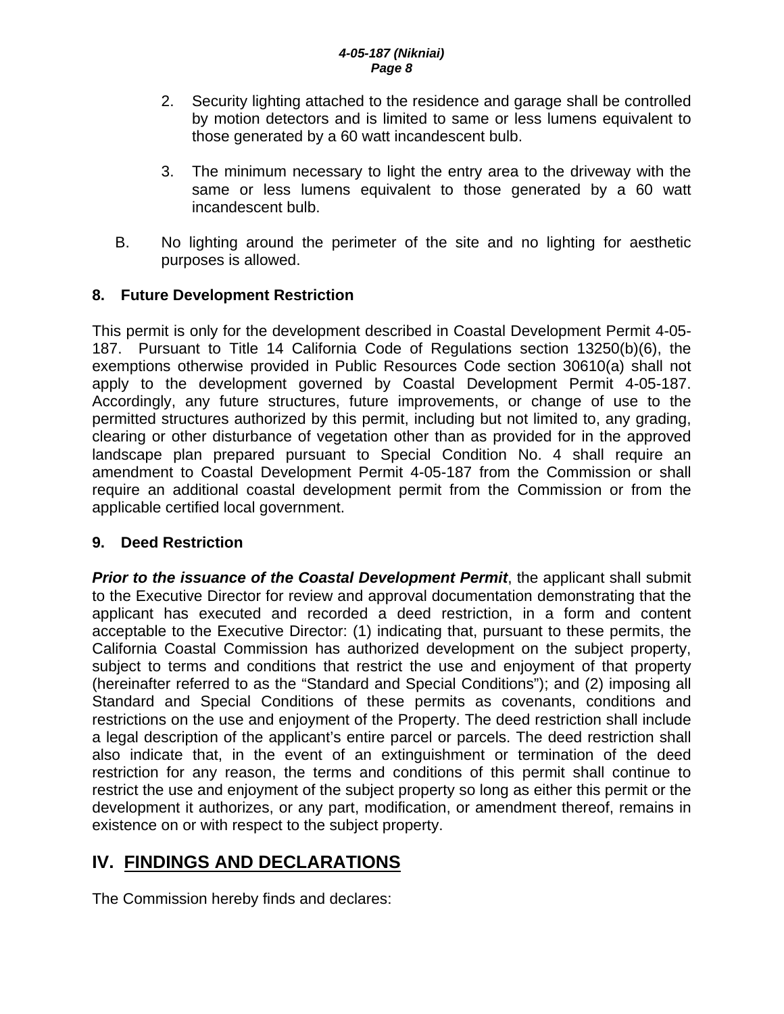- 2. Security lighting attached to the residence and garage shall be controlled by motion detectors and is limited to same or less lumens equivalent to those generated by a 60 watt incandescent bulb.
- 3. The minimum necessary to light the entry area to the driveway with the same or less lumens equivalent to those generated by a 60 watt incandescent bulb.
- B. No lighting around the perimeter of the site and no lighting for aesthetic purposes is allowed.

## **8. Future Development Restriction**

This permit is only for the development described in Coastal Development Permit 4-05- 187. Pursuant to Title 14 California Code of Regulations section 13250(b)(6), the exemptions otherwise provided in Public Resources Code section 30610(a) shall not apply to the development governed by Coastal Development Permit 4-05-187. Accordingly, any future structures, future improvements, or change of use to the permitted structures authorized by this permit, including but not limited to, any grading, clearing or other disturbance of vegetation other than as provided for in the approved landscape plan prepared pursuant to Special Condition No. 4 shall require an amendment to Coastal Development Permit 4-05-187 from the Commission or shall require an additional coastal development permit from the Commission or from the applicable certified local government.

## **9. Deed Restriction**

**Prior to the issuance of the Coastal Development Permit**, the applicant shall submit to the Executive Director for review and approval documentation demonstrating that the applicant has executed and recorded a deed restriction, in a form and content acceptable to the Executive Director: (1) indicating that, pursuant to these permits, the California Coastal Commission has authorized development on the subject property, subject to terms and conditions that restrict the use and enjoyment of that property (hereinafter referred to as the "Standard and Special Conditions"); and (2) imposing all Standard and Special Conditions of these permits as covenants, conditions and restrictions on the use and enjoyment of the Property. The deed restriction shall include a legal description of the applicant's entire parcel or parcels. The deed restriction shall also indicate that, in the event of an extinguishment or termination of the deed restriction for any reason, the terms and conditions of this permit shall continue to restrict the use and enjoyment of the subject property so long as either this permit or the development it authorizes, or any part, modification, or amendment thereof, remains in existence on or with respect to the subject property.

# **IV. FINDINGS AND DECLARATIONS**

The Commission hereby finds and declares: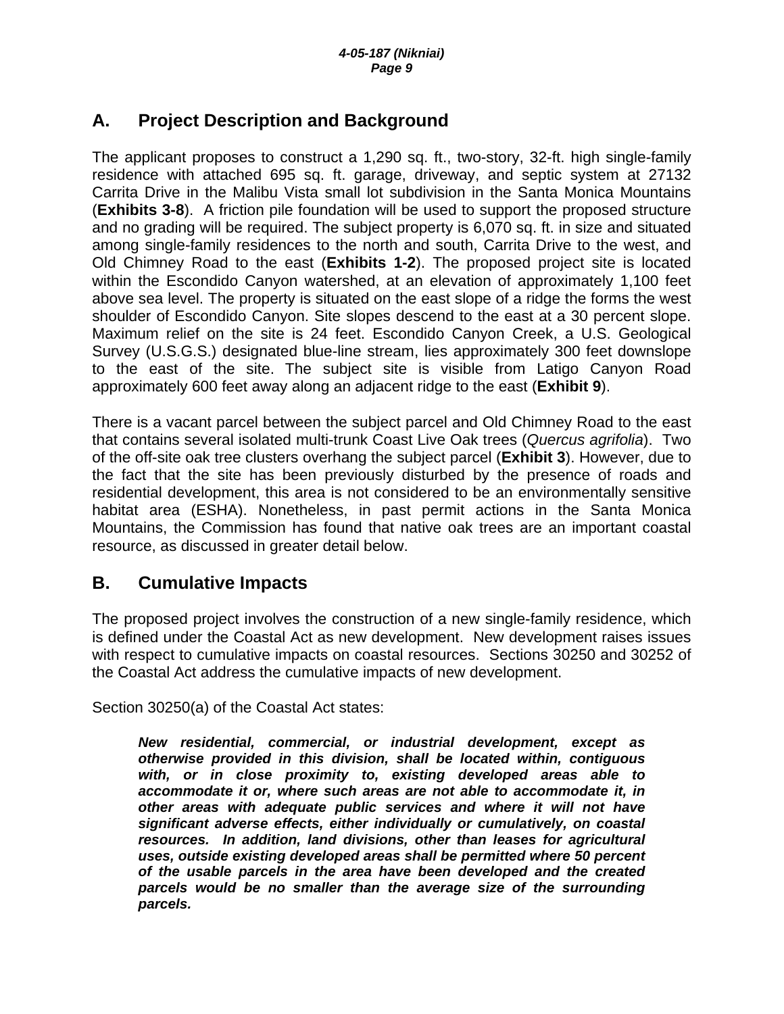# **A. Project Description and Background**

The applicant proposes to construct a 1,290 sq. ft., two-story, 32-ft. high single-family residence with attached 695 sq. ft. garage, driveway, and septic system at 27132 Carrita Drive in the Malibu Vista small lot subdivision in the Santa Monica Mountains (**Exhibits 3-8**). A friction pile foundation will be used to support the proposed structure and no grading will be required. The subject property is 6,070 sq. ft. in size and situated among single-family residences to the north and south, Carrita Drive to the west, and Old Chimney Road to the east (**Exhibits 1-2**). The proposed project site is located within the Escondido Canyon watershed, at an elevation of approximately 1,100 feet above sea level. The property is situated on the east slope of a ridge the forms the west shoulder of Escondido Canyon. Site slopes descend to the east at a 30 percent slope. Maximum relief on the site is 24 feet. Escondido Canyon Creek, a U.S. Geological Survey (U.S.G.S.) designated blue-line stream, lies approximately 300 feet downslope to the east of the site. The subject site is visible from Latigo Canyon Road approximately 600 feet away along an adjacent ridge to the east (**Exhibit 9**).

There is a vacant parcel between the subject parcel and Old Chimney Road to the east that contains several isolated multi-trunk Coast Live Oak trees (*Quercus agrifolia*). Two of the off-site oak tree clusters overhang the subject parcel (**Exhibit 3**). However, due to the fact that the site has been previously disturbed by the presence of roads and residential development, this area is not considered to be an environmentally sensitive habitat area (ESHA). Nonetheless, in past permit actions in the Santa Monica Mountains, the Commission has found that native oak trees are an important coastal resource, as discussed in greater detail below.

# **B. Cumulative Impacts**

The proposed project involves the construction of a new single-family residence, which is defined under the Coastal Act as new development. New development raises issues with respect to cumulative impacts on coastal resources. Sections 30250 and 30252 of the Coastal Act address the cumulative impacts of new development.

Section 30250(a) of the Coastal Act states:

*New residential, commercial, or industrial development, except as otherwise provided in this division, shall be located within, contiguous with, or in close proximity to, existing developed areas able to accommodate it or, where such areas are not able to accommodate it, in other areas with adequate public services and where it will not have significant adverse effects, either individually or cumulatively, on coastal resources. In addition, land divisions, other than leases for agricultural uses, outside existing developed areas shall be permitted where 50 percent of the usable parcels in the area have been developed and the created parcels would be no smaller than the average size of the surrounding parcels.*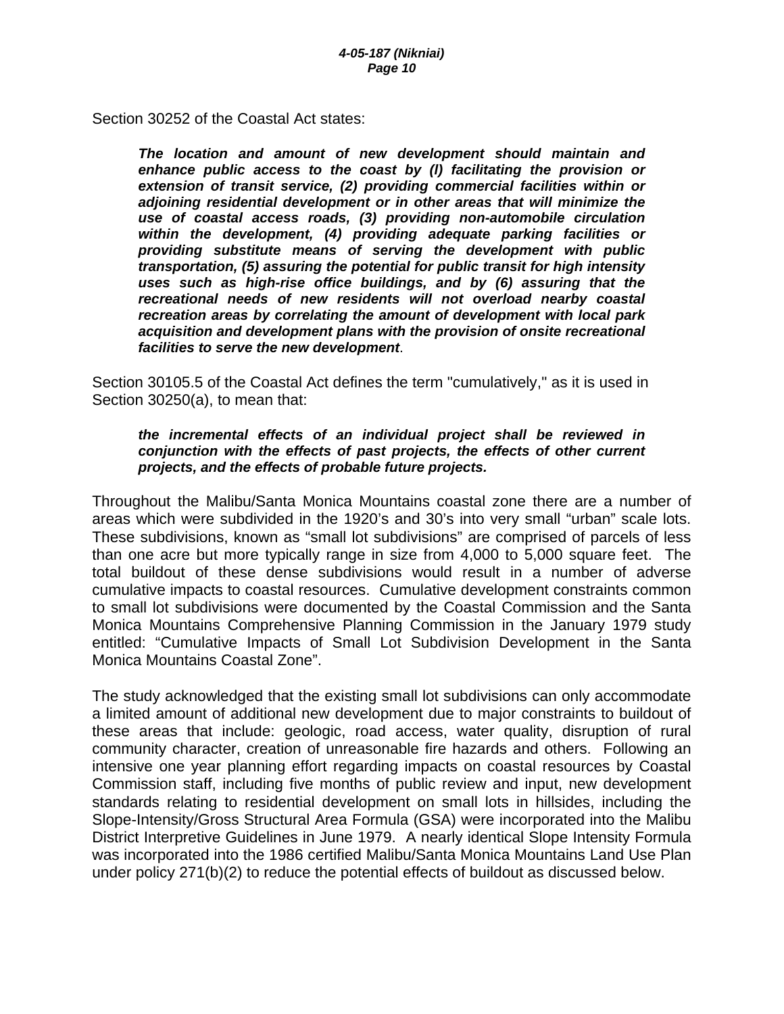Section 30252 of the Coastal Act states:

*The location and amount of new development should maintain and enhance public access to the coast by (l) facilitating the provision or extension of transit service, (2) providing commercial facilities within or adjoining residential development or in other areas that will minimize the use of coastal access roads, (3) providing non-automobile circulation within the development, (4) providing adequate parking facilities or providing substitute means of serving the development with public transportation, (5) assuring the potential for public transit for high intensity uses such as high-rise office buildings, and by (6) assuring that the recreational needs of new residents will not overload nearby coastal recreation areas by correlating the amount of development with local park acquisition and development plans with the provision of onsite recreational facilities to serve the new development*.

Section 30105.5 of the Coastal Act defines the term "cumulatively," as it is used in Section 30250(a), to mean that:

#### *the incremental effects of an individual project shall be reviewed in conjunction with the effects of past projects, the effects of other current projects, and the effects of probable future projects.*

Throughout the Malibu/Santa Monica Mountains coastal zone there are a number of areas which were subdivided in the 1920's and 30's into very small "urban" scale lots. These subdivisions, known as "small lot subdivisions" are comprised of parcels of less than one acre but more typically range in size from 4,000 to 5,000 square feet. The total buildout of these dense subdivisions would result in a number of adverse cumulative impacts to coastal resources. Cumulative development constraints common to small lot subdivisions were documented by the Coastal Commission and the Santa Monica Mountains Comprehensive Planning Commission in the January 1979 study entitled: "Cumulative Impacts of Small Lot Subdivision Development in the Santa Monica Mountains Coastal Zone".

The study acknowledged that the existing small lot subdivisions can only accommodate a limited amount of additional new development due to major constraints to buildout of these areas that include: geologic, road access, water quality, disruption of rural community character, creation of unreasonable fire hazards and others. Following an intensive one year planning effort regarding impacts on coastal resources by Coastal Commission staff, including five months of public review and input, new development standards relating to residential development on small lots in hillsides, including the Slope-Intensity/Gross Structural Area Formula (GSA) were incorporated into the Malibu District Interpretive Guidelines in June 1979. A nearly identical Slope Intensity Formula was incorporated into the 1986 certified Malibu/Santa Monica Mountains Land Use Plan under policy 271(b)(2) to reduce the potential effects of buildout as discussed below.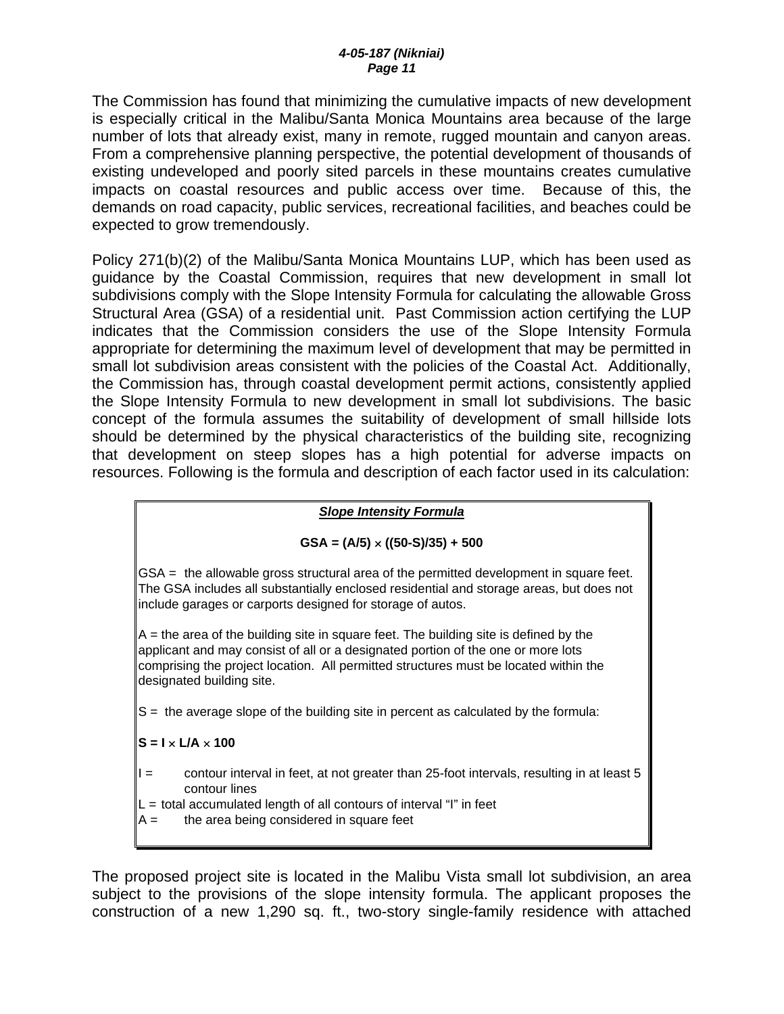The Commission has found that minimizing the cumulative impacts of new development is especially critical in the Malibu/Santa Monica Mountains area because of the large number of lots that already exist, many in remote, rugged mountain and canyon areas. From a comprehensive planning perspective, the potential development of thousands of existing undeveloped and poorly sited parcels in these mountains creates cumulative impacts on coastal resources and public access over time. Because of this, the demands on road capacity, public services, recreational facilities, and beaches could be expected to grow tremendously.

Policy 271(b)(2) of the Malibu/Santa Monica Mountains LUP, which has been used as guidance by the Coastal Commission, requires that new development in small lot subdivisions comply with the Slope Intensity Formula for calculating the allowable Gross Structural Area (GSA) of a residential unit. Past Commission action certifying the LUP indicates that the Commission considers the use of the Slope Intensity Formula appropriate for determining the maximum level of development that may be permitted in small lot subdivision areas consistent with the policies of the Coastal Act. Additionally, the Commission has, through coastal development permit actions, consistently applied the Slope Intensity Formula to new development in small lot subdivisions. The basic concept of the formula assumes the suitability of development of small hillside lots should be determined by the physical characteristics of the building site, recognizing that development on steep slopes has a high potential for adverse impacts on resources. Following is the formula and description of each factor used in its calculation:

### *Slope Intensity Formula*

### **GSA = (A/5)** × **((50-S)/35) + 500**

GSA = the allowable gross structural area of the permitted development in square feet. The GSA includes all substantially enclosed residential and storage areas, but does not include garages or carports designed for storage of autos.

 $A =$  the area of the building site in square feet. The building site is defined by the applicant and may consist of all or a designated portion of the one or more lots comprising the project location. All permitted structures must be located within the designated building site.

S = the average slope of the building site in percent as calculated by the formula:

### $S = I \times I/A \times 100$

- $I =$  contour interval in feet, at not greater than 25-foot intervals, resulting in at least 5 contour lines
- $L =$  total accumulated length of all contours of interval "I" in feet
- $A =$  the area being considered in square feet

The proposed project site is located in the Malibu Vista small lot subdivision, an area subject to the provisions of the slope intensity formula. The applicant proposes the construction of a new 1,290 sq. ft., two-story single-family residence with attached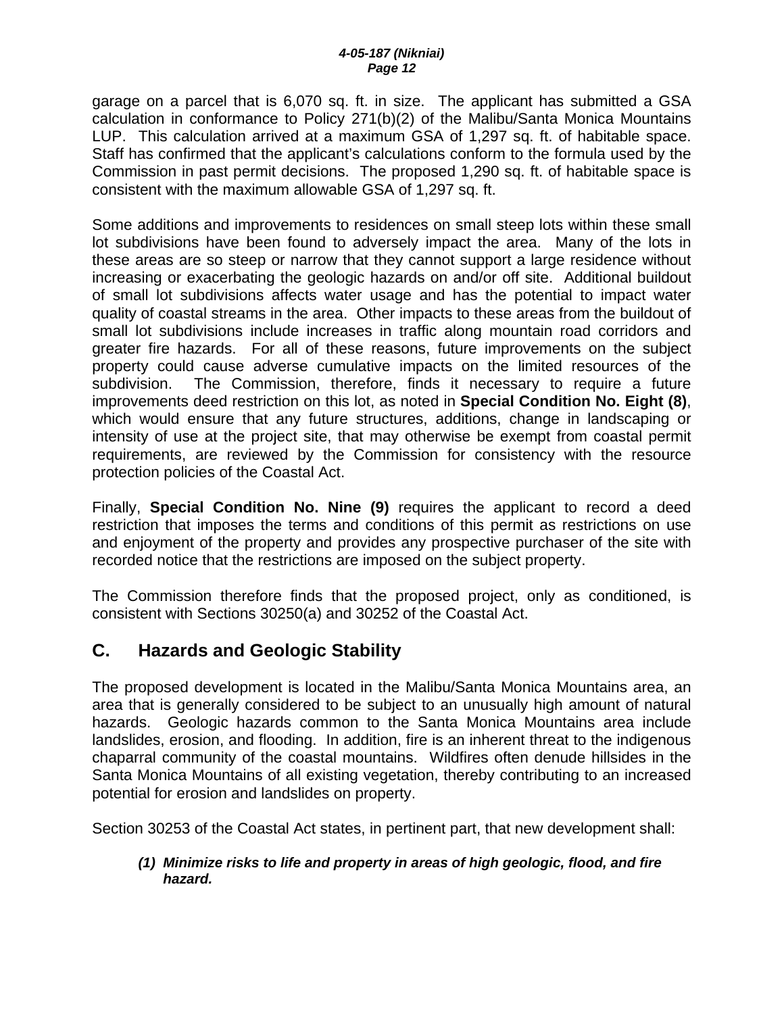garage on a parcel that is 6,070 sq. ft. in size. The applicant has submitted a GSA calculation in conformance to Policy 271(b)(2) of the Malibu/Santa Monica Mountains LUP. This calculation arrived at a maximum GSA of 1,297 sq. ft. of habitable space. Staff has confirmed that the applicant's calculations conform to the formula used by the Commission in past permit decisions. The proposed 1,290 sq. ft. of habitable space is consistent with the maximum allowable GSA of 1,297 sq. ft.

Some additions and improvements to residences on small steep lots within these small lot subdivisions have been found to adversely impact the area. Many of the lots in these areas are so steep or narrow that they cannot support a large residence without increasing or exacerbating the geologic hazards on and/or off site. Additional buildout of small lot subdivisions affects water usage and has the potential to impact water quality of coastal streams in the area. Other impacts to these areas from the buildout of small lot subdivisions include increases in traffic along mountain road corridors and greater fire hazards. For all of these reasons, future improvements on the subject property could cause adverse cumulative impacts on the limited resources of the subdivision. The Commission, therefore, finds it necessary to require a future improvements deed restriction on this lot, as noted in **Special Condition No. Eight (8)**, which would ensure that any future structures, additions, change in landscaping or intensity of use at the project site, that may otherwise be exempt from coastal permit requirements, are reviewed by the Commission for consistency with the resource protection policies of the Coastal Act.

Finally, **Special Condition No. Nine (9)** requires the applicant to record a deed restriction that imposes the terms and conditions of this permit as restrictions on use and enjoyment of the property and provides any prospective purchaser of the site with recorded notice that the restrictions are imposed on the subject property.

The Commission therefore finds that the proposed project, only as conditioned, is consistent with Sections 30250(a) and 30252 of the Coastal Act.

# **C. Hazards and Geologic Stability**

The proposed development is located in the Malibu/Santa Monica Mountains area, an area that is generally considered to be subject to an unusually high amount of natural hazards. Geologic hazards common to the Santa Monica Mountains area include landslides, erosion, and flooding. In addition, fire is an inherent threat to the indigenous chaparral community of the coastal mountains. Wildfires often denude hillsides in the Santa Monica Mountains of all existing vegetation, thereby contributing to an increased potential for erosion and landslides on property.

Section 30253 of the Coastal Act states, in pertinent part, that new development shall:

### *(1) Minimize risks to life and property in areas of high geologic, flood, and fire hazard.*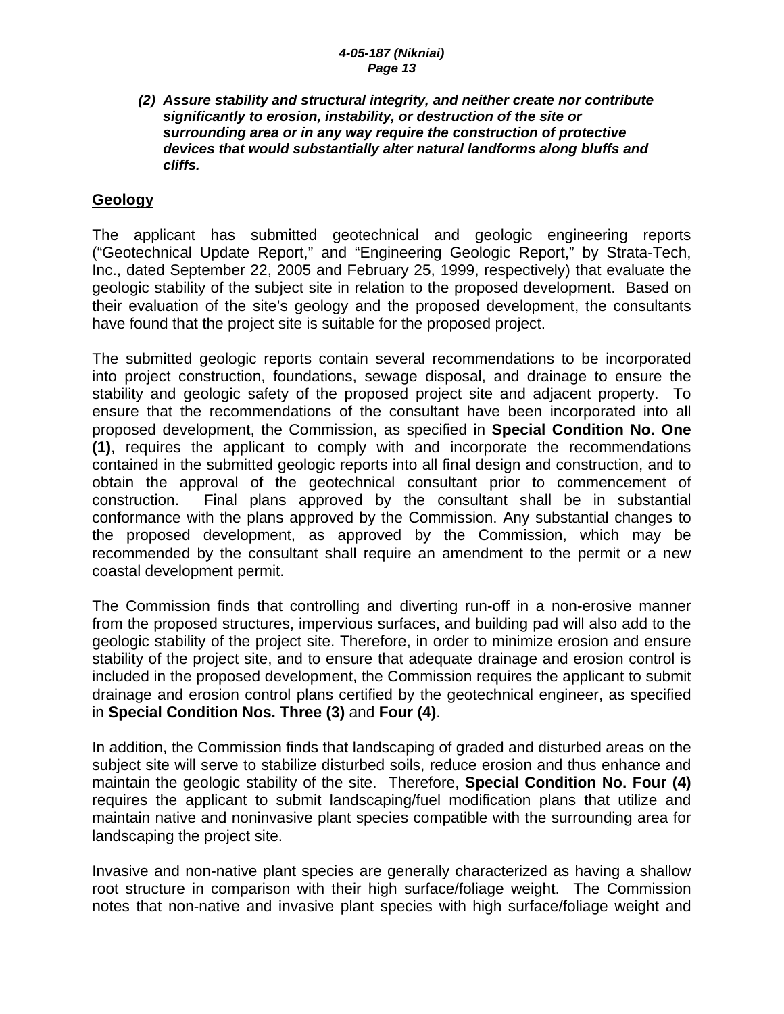#### *(2) Assure stability and structural integrity, and neither create nor contribute significantly to erosion, instability, or destruction of the site or surrounding area or in any way require the construction of protective devices that would substantially alter natural landforms along bluffs and cliffs.*

## **Geology**

The applicant has submitted geotechnical and geologic engineering reports ("Geotechnical Update Report," and "Engineering Geologic Report," by Strata-Tech, Inc., dated September 22, 2005 and February 25, 1999, respectively) that evaluate the geologic stability of the subject site in relation to the proposed development. Based on their evaluation of the site's geology and the proposed development, the consultants have found that the project site is suitable for the proposed project.

The submitted geologic reports contain several recommendations to be incorporated into project construction, foundations, sewage disposal, and drainage to ensure the stability and geologic safety of the proposed project site and adjacent property. To ensure that the recommendations of the consultant have been incorporated into all proposed development, the Commission, as specified in **Special Condition No. One (1)**, requires the applicant to comply with and incorporate the recommendations contained in the submitted geologic reports into all final design and construction, and to obtain the approval of the geotechnical consultant prior to commencement of construction. Final plans approved by the consultant shall be in substantial conformance with the plans approved by the Commission. Any substantial changes to the proposed development, as approved by the Commission, which may be recommended by the consultant shall require an amendment to the permit or a new coastal development permit.

The Commission finds that controlling and diverting run-off in a non-erosive manner from the proposed structures, impervious surfaces, and building pad will also add to the geologic stability of the project site. Therefore, in order to minimize erosion and ensure stability of the project site, and to ensure that adequate drainage and erosion control is included in the proposed development, the Commission requires the applicant to submit drainage and erosion control plans certified by the geotechnical engineer, as specified in **Special Condition Nos. Three (3)** and **Four (4)**.

In addition, the Commission finds that landscaping of graded and disturbed areas on the subject site will serve to stabilize disturbed soils, reduce erosion and thus enhance and maintain the geologic stability of the site. Therefore, **Special Condition No. Four (4)**  requires the applicant to submit landscaping/fuel modification plans that utilize and maintain native and noninvasive plant species compatible with the surrounding area for landscaping the project site.

Invasive and non-native plant species are generally characterized as having a shallow root structure in comparison with their high surface/foliage weight. The Commission notes that non-native and invasive plant species with high surface/foliage weight and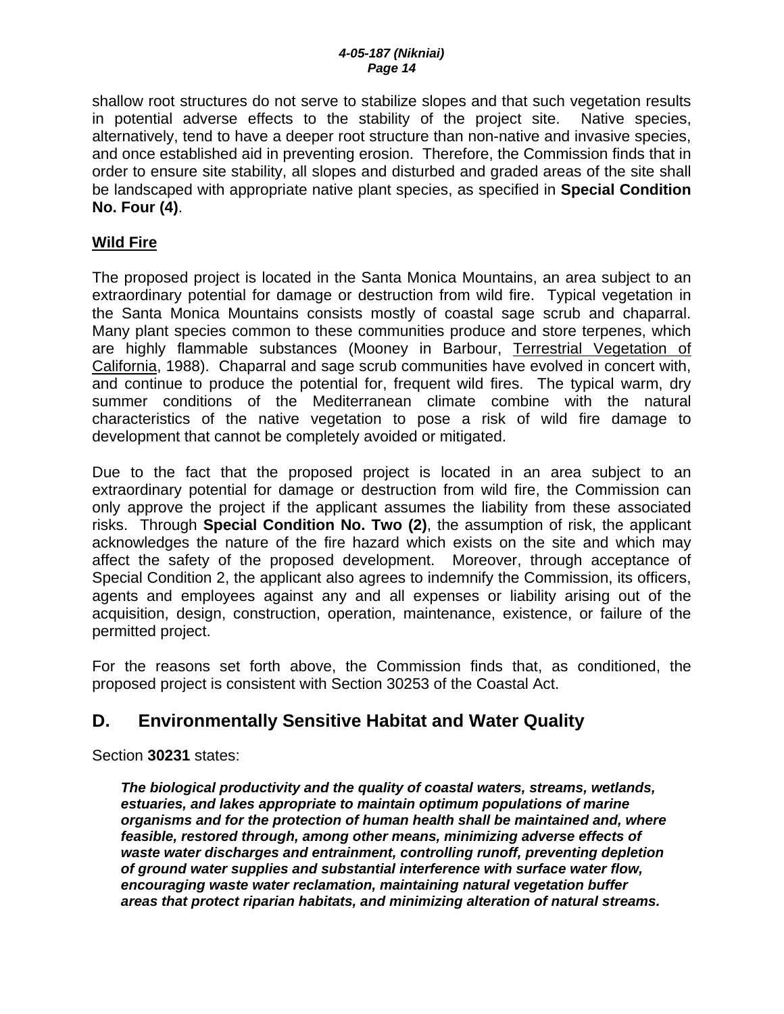shallow root structures do not serve to stabilize slopes and that such vegetation results in potential adverse effects to the stability of the project site. Native species, alternatively, tend to have a deeper root structure than non-native and invasive species, and once established aid in preventing erosion. Therefore, the Commission finds that in order to ensure site stability, all slopes and disturbed and graded areas of the site shall be landscaped with appropriate native plant species, as specified in **Special Condition No. Four (4)**.

## **Wild Fire**

The proposed project is located in the Santa Monica Mountains, an area subject to an extraordinary potential for damage or destruction from wild fire. Typical vegetation in the Santa Monica Mountains consists mostly of coastal sage scrub and chaparral. Many plant species common to these communities produce and store terpenes, which are highly flammable substances (Mooney in Barbour, Terrestrial Vegetation of California, 1988). Chaparral and sage scrub communities have evolved in concert with, and continue to produce the potential for, frequent wild fires. The typical warm, dry summer conditions of the Mediterranean climate combine with the natural characteristics of the native vegetation to pose a risk of wild fire damage to development that cannot be completely avoided or mitigated.

Due to the fact that the proposed project is located in an area subject to an extraordinary potential for damage or destruction from wild fire, the Commission can only approve the project if the applicant assumes the liability from these associated risks. Through **Special Condition No. Two (2)**, the assumption of risk, the applicant acknowledges the nature of the fire hazard which exists on the site and which may affect the safety of the proposed development. Moreover, through acceptance of Special Condition 2, the applicant also agrees to indemnify the Commission, its officers, agents and employees against any and all expenses or liability arising out of the acquisition, design, construction, operation, maintenance, existence, or failure of the permitted project.

For the reasons set forth above, the Commission finds that, as conditioned, the proposed project is consistent with Section 30253 of the Coastal Act.

# **D. Environmentally Sensitive Habitat and Water Quality**

Section **30231** states:

*The biological productivity and the quality of coastal waters, streams, wetlands, estuaries, and lakes appropriate to maintain optimum populations of marine organisms and for the protection of human health shall be maintained and, where feasible, restored through, among other means, minimizing adverse effects of waste water discharges and entrainment, controlling runoff, preventing depletion of ground water supplies and substantial interference with surface water flow, encouraging waste water reclamation, maintaining natural vegetation buffer areas that protect riparian habitats, and minimizing alteration of natural streams.*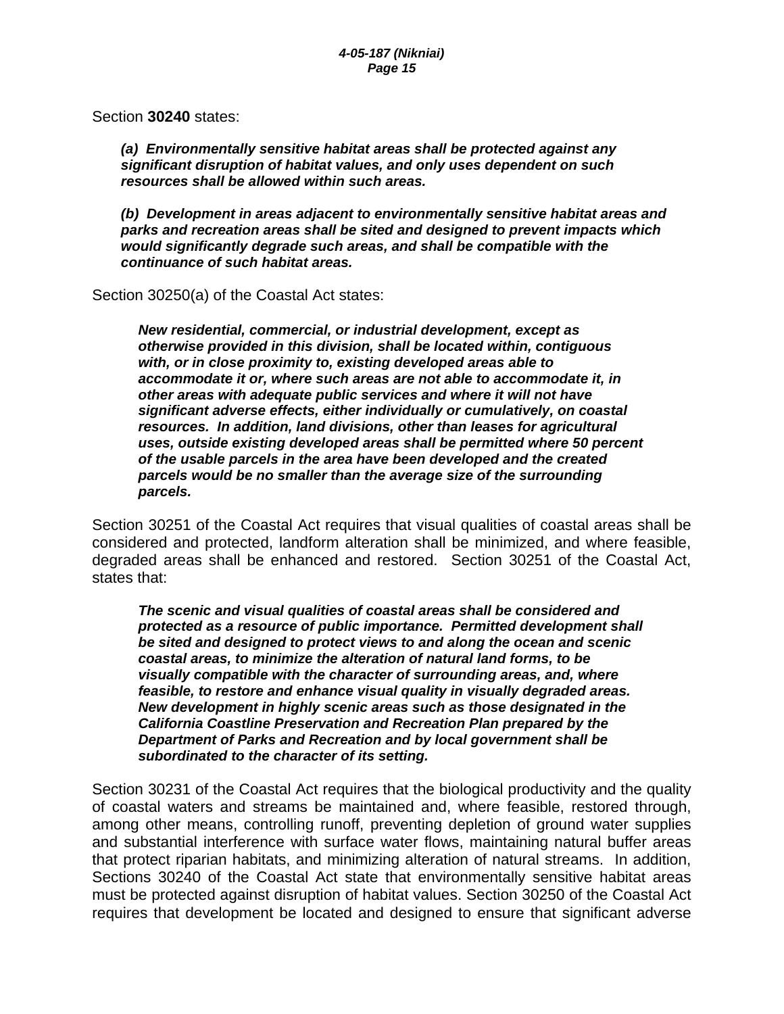Section **30240** states:

*(a) Environmentally sensitive habitat areas shall be protected against any significant disruption of habitat values, and only uses dependent on such resources shall be allowed within such areas.* 

 *(b) Development in areas adjacent to environmentally sensitive habitat areas and parks and recreation areas shall be sited and designed to prevent impacts which would significantly degrade such areas, and shall be compatible with the continuance of such habitat areas.*

Section 30250(a) of the Coastal Act states:

*New residential, commercial, or industrial development, except as otherwise provided in this division, shall be located within, contiguous with, or in close proximity to, existing developed areas able to accommodate it or, where such areas are not able to accommodate it, in other areas with adequate public services and where it will not have significant adverse effects, either individually or cumulatively, on coastal resources. In addition, land divisions, other than leases for agricultural uses, outside existing developed areas shall be permitted where 50 percent of the usable parcels in the area have been developed and the created parcels would be no smaller than the average size of the surrounding parcels.*

Section 30251 of the Coastal Act requires that visual qualities of coastal areas shall be considered and protected, landform alteration shall be minimized, and where feasible, degraded areas shall be enhanced and restored. Section 30251 of the Coastal Act, states that:

*The scenic and visual qualities of coastal areas shall be considered and protected as a resource of public importance. Permitted development shall be sited and designed to protect views to and along the ocean and scenic coastal areas, to minimize the alteration of natural land forms, to be visually compatible with the character of surrounding areas, and, where feasible, to restore and enhance visual quality in visually degraded areas. New development in highly scenic areas such as those designated in the California Coastline Preservation and Recreation Plan prepared by the Department of Parks and Recreation and by local government shall be subordinated to the character of its setting.* 

Section 30231 of the Coastal Act requires that the biological productivity and the quality of coastal waters and streams be maintained and, where feasible, restored through, among other means, controlling runoff, preventing depletion of ground water supplies and substantial interference with surface water flows, maintaining natural buffer areas that protect riparian habitats, and minimizing alteration of natural streams. In addition, Sections 30240 of the Coastal Act state that environmentally sensitive habitat areas must be protected against disruption of habitat values. Section 30250 of the Coastal Act requires that development be located and designed to ensure that significant adverse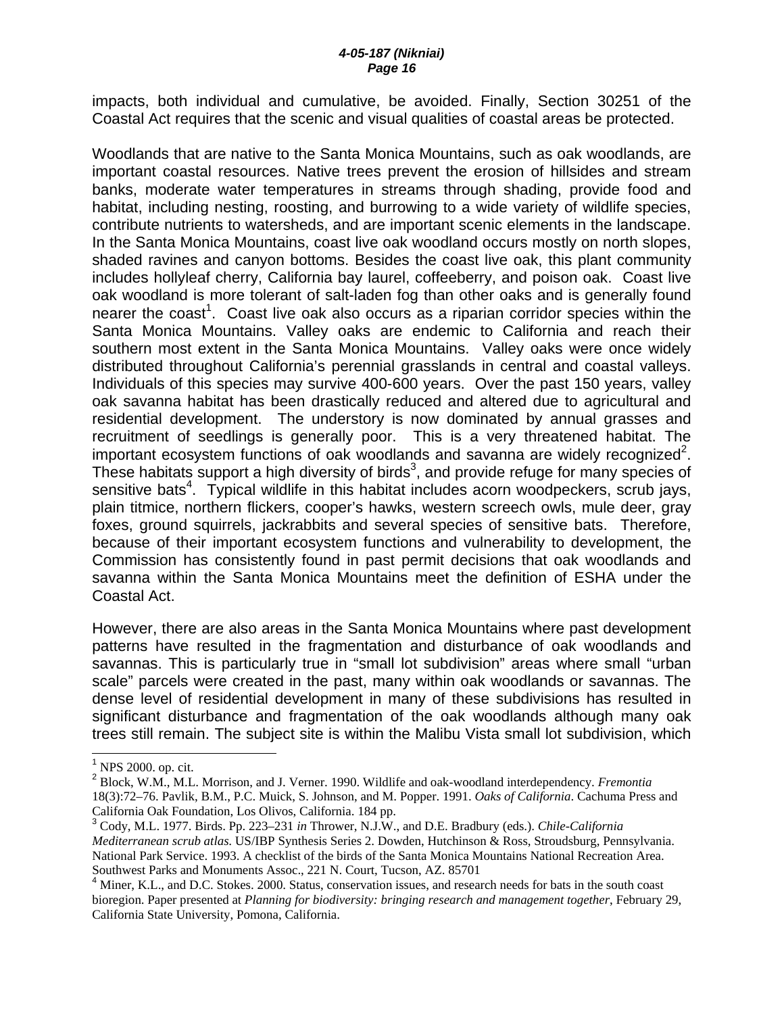impacts, both individual and cumulative, be avoided. Finally, Section 30251 of the Coastal Act requires that the scenic and visual qualities of coastal areas be protected.

Woodlands that are native to the Santa Monica Mountains, such as oak woodlands, are important coastal resources. Native trees prevent the erosion of hillsides and stream banks, moderate water temperatures in streams through shading, provide food and habitat, including nesting, roosting, and burrowing to a wide variety of wildlife species, contribute nutrients to watersheds, and are important scenic elements in the landscape. In the Santa Monica Mountains, coast live oak woodland occurs mostly on north slopes, shaded ravines and canyon bottoms. Besides the coast live oak, this plant community includes hollyleaf cherry, California bay laurel, coffeeberry, and poison oak. Coast live oak woodland is more tolerant of salt-laden fog than other oaks and is generally found nearer the coast<sup>1</sup>. Coast live oak also occurs as a riparian corridor species within the Santa Monica Mountains. Valley oaks are endemic to California and reach their southern most extent in the Santa Monica Mountains. Valley oaks were once widely distributed throughout California's perennial grasslands in central and coastal valleys. Individuals of this species may survive 400-600 years. Over the past 150 years, valley oak savanna habitat has been drastically reduced and altered due to agricultural and residential development. The understory is now dominated by annual grasses and recruitment of seedlings is generally poor. This is a very threatened habitat. The important ecosystem functions of oak woodlands and savanna are widely recognized<sup>2</sup>. These habitats support a high diversity of birds<sup>3</sup>, and provide refuge for many species of sensitive bats<sup>4</sup>. Typical wildlife in this habitat includes acorn woodpeckers, scrub jays, plain titmice, northern flickers, cooper's hawks, western screech owls, mule deer, gray foxes, ground squirrels, jackrabbits and several species of sensitive bats. Therefore, because of their important ecosystem functions and vulnerability to development, the Commission has consistently found in past permit decisions that oak woodlands and savanna within the Santa Monica Mountains meet the definition of ESHA under the Coastal Act.

However, there are also areas in the Santa Monica Mountains where past development patterns have resulted in the fragmentation and disturbance of oak woodlands and savannas. This is particularly true in "small lot subdivision" areas where small "urban scale" parcels were created in the past, many within oak woodlands or savannas. The dense level of residential development in many of these subdivisions has resulted in significant disturbance and fragmentation of the oak woodlands although many oak trees still remain. The subject site is within the Malibu Vista small lot subdivision, which

 $\overline{a}$ 

<sup>&</sup>lt;sup>1</sup> NPS 2000. op. cit.

<sup>2</sup> Block, W.M., M.L. Morrison, and J. Verner. 1990. Wildlife and oak-woodland interdependency. *Fremontia*  18(3):72–76. Pavlik, B.M., P.C. Muick, S. Johnson, and M. Popper. 1991. *Oaks of California*. Cachuma Press and California Oak Foundation, Los Olivos, California. 184 pp.

<sup>3</sup> Cody, M.L. 1977. Birds. Pp. 223–231 *in* Thrower, N.J.W., and D.E. Bradbury (eds.). *Chile-California Mediterranean scrub atlas*. US/IBP Synthesis Series 2. Dowden, Hutchinson & Ross, Stroudsburg, Pennsylvania. National Park Service. 1993. A checklist of the birds of the Santa Monica Mountains National Recreation Area. Southwest Parks and Monuments Assoc., 221 N. Court, Tucson, AZ. 85701

<sup>&</sup>lt;sup>4</sup> Miner, K.L., and D.C. Stokes. 2000. Status, conservation issues, and research needs for bats in the south coast bioregion. Paper presented at *Planning for biodiversity: bringing research and management together*, February 29, California State University, Pomona, California.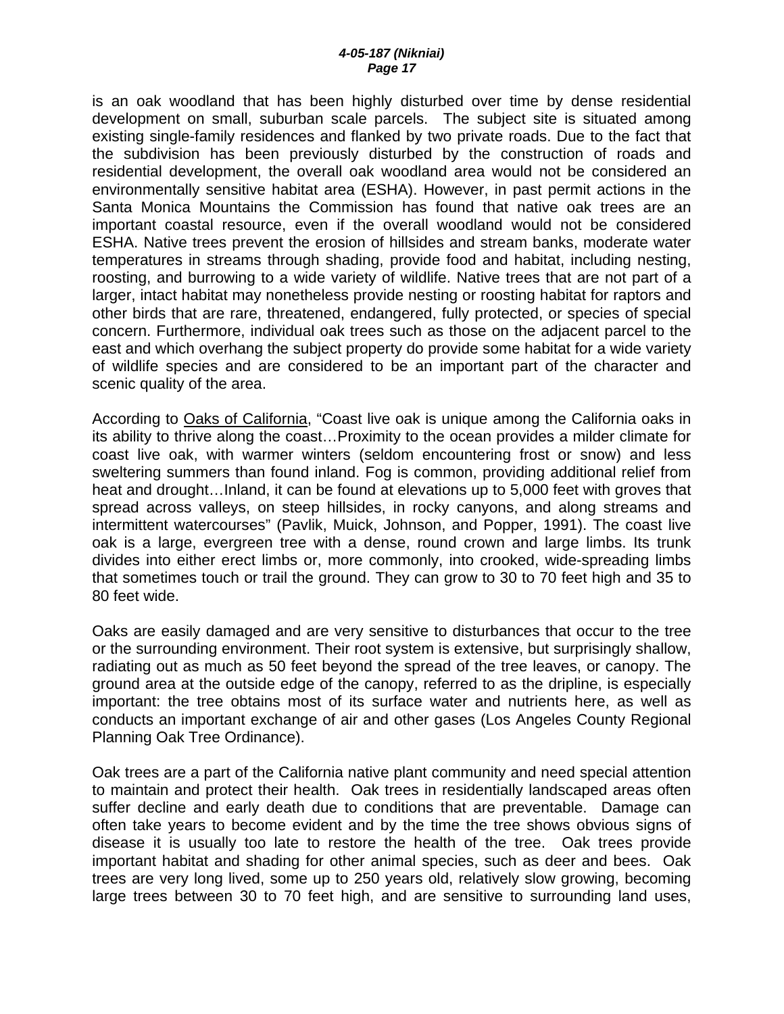is an oak woodland that has been highly disturbed over time by dense residential development on small, suburban scale parcels. The subject site is situated among existing single-family residences and flanked by two private roads. Due to the fact that the subdivision has been previously disturbed by the construction of roads and residential development, the overall oak woodland area would not be considered an environmentally sensitive habitat area (ESHA). However, in past permit actions in the Santa Monica Mountains the Commission has found that native oak trees are an important coastal resource, even if the overall woodland would not be considered ESHA. Native trees prevent the erosion of hillsides and stream banks, moderate water temperatures in streams through shading, provide food and habitat, including nesting, roosting, and burrowing to a wide variety of wildlife. Native trees that are not part of a larger, intact habitat may nonetheless provide nesting or roosting habitat for raptors and other birds that are rare, threatened, endangered, fully protected, or species of special concern. Furthermore, individual oak trees such as those on the adjacent parcel to the east and which overhang the subject property do provide some habitat for a wide variety of wildlife species and are considered to be an important part of the character and scenic quality of the area.

According to Oaks of California, "Coast live oak is unique among the California oaks in its ability to thrive along the coast…Proximity to the ocean provides a milder climate for coast live oak, with warmer winters (seldom encountering frost or snow) and less sweltering summers than found inland. Fog is common, providing additional relief from heat and drought…Inland, it can be found at elevations up to 5,000 feet with groves that spread across valleys, on steep hillsides, in rocky canyons, and along streams and intermittent watercourses" (Pavlik, Muick, Johnson, and Popper, 1991). The coast live oak is a large, evergreen tree with a dense, round crown and large limbs. Its trunk divides into either erect limbs or, more commonly, into crooked, wide-spreading limbs that sometimes touch or trail the ground. They can grow to 30 to 70 feet high and 35 to 80 feet wide.

Oaks are easily damaged and are very sensitive to disturbances that occur to the tree or the surrounding environment. Their root system is extensive, but surprisingly shallow, radiating out as much as 50 feet beyond the spread of the tree leaves, or canopy. The ground area at the outside edge of the canopy, referred to as the dripline, is especially important: the tree obtains most of its surface water and nutrients here, as well as conducts an important exchange of air and other gases (Los Angeles County Regional Planning Oak Tree Ordinance).

Oak trees are a part of the California native plant community and need special attention to maintain and protect their health. Oak trees in residentially landscaped areas often suffer decline and early death due to conditions that are preventable. Damage can often take years to become evident and by the time the tree shows obvious signs of disease it is usually too late to restore the health of the tree. Oak trees provide important habitat and shading for other animal species, such as deer and bees. Oak trees are very long lived, some up to 250 years old, relatively slow growing, becoming large trees between 30 to 70 feet high, and are sensitive to surrounding land uses,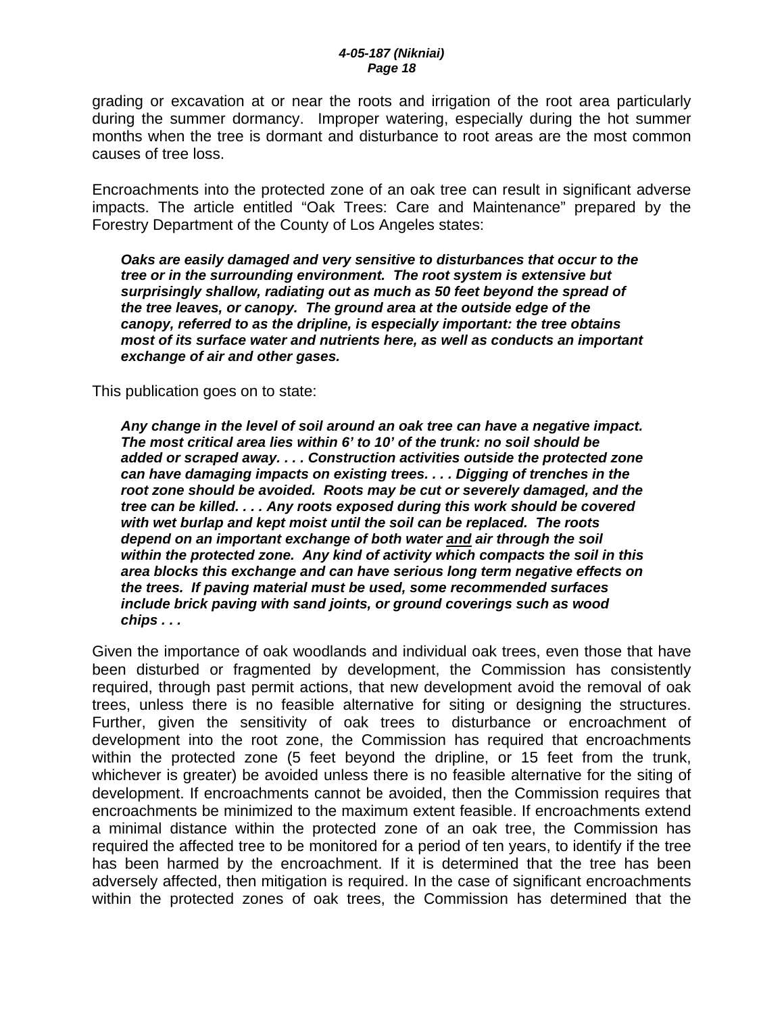grading or excavation at or near the roots and irrigation of the root area particularly during the summer dormancy. Improper watering, especially during the hot summer months when the tree is dormant and disturbance to root areas are the most common causes of tree loss.

Encroachments into the protected zone of an oak tree can result in significant adverse impacts. The article entitled "Oak Trees: Care and Maintenance" prepared by the Forestry Department of the County of Los Angeles states:

*Oaks are easily damaged and very sensitive to disturbances that occur to the tree or in the surrounding environment. The root system is extensive but surprisingly shallow, radiating out as much as 50 feet beyond the spread of the tree leaves, or canopy. The ground area at the outside edge of the canopy, referred to as the dripline, is especially important: the tree obtains most of its surface water and nutrients here, as well as conducts an important exchange of air and other gases.* 

This publication goes on to state:

*Any change in the level of soil around an oak tree can have a negative impact. The most critical area lies within 6' to 10' of the trunk: no soil should be added or scraped away. . . . Construction activities outside the protected zone can have damaging impacts on existing trees. . . . Digging of trenches in the root zone should be avoided. Roots may be cut or severely damaged, and the tree can be killed. . . . Any roots exposed during this work should be covered with wet burlap and kept moist until the soil can be replaced. The roots depend on an important exchange of both water and air through the soil within the protected zone. Any kind of activity which compacts the soil in this area blocks this exchange and can have serious long term negative effects on the trees. If paving material must be used, some recommended surfaces include brick paving with sand joints, or ground coverings such as wood chips . . .* 

Given the importance of oak woodlands and individual oak trees, even those that have been disturbed or fragmented by development, the Commission has consistently required, through past permit actions, that new development avoid the removal of oak trees, unless there is no feasible alternative for siting or designing the structures. Further, given the sensitivity of oak trees to disturbance or encroachment of development into the root zone, the Commission has required that encroachments within the protected zone (5 feet beyond the dripline, or 15 feet from the trunk, whichever is greater) be avoided unless there is no feasible alternative for the siting of development. If encroachments cannot be avoided, then the Commission requires that encroachments be minimized to the maximum extent feasible. If encroachments extend a minimal distance within the protected zone of an oak tree, the Commission has required the affected tree to be monitored for a period of ten years, to identify if the tree has been harmed by the encroachment. If it is determined that the tree has been adversely affected, then mitigation is required. In the case of significant encroachments within the protected zones of oak trees, the Commission has determined that the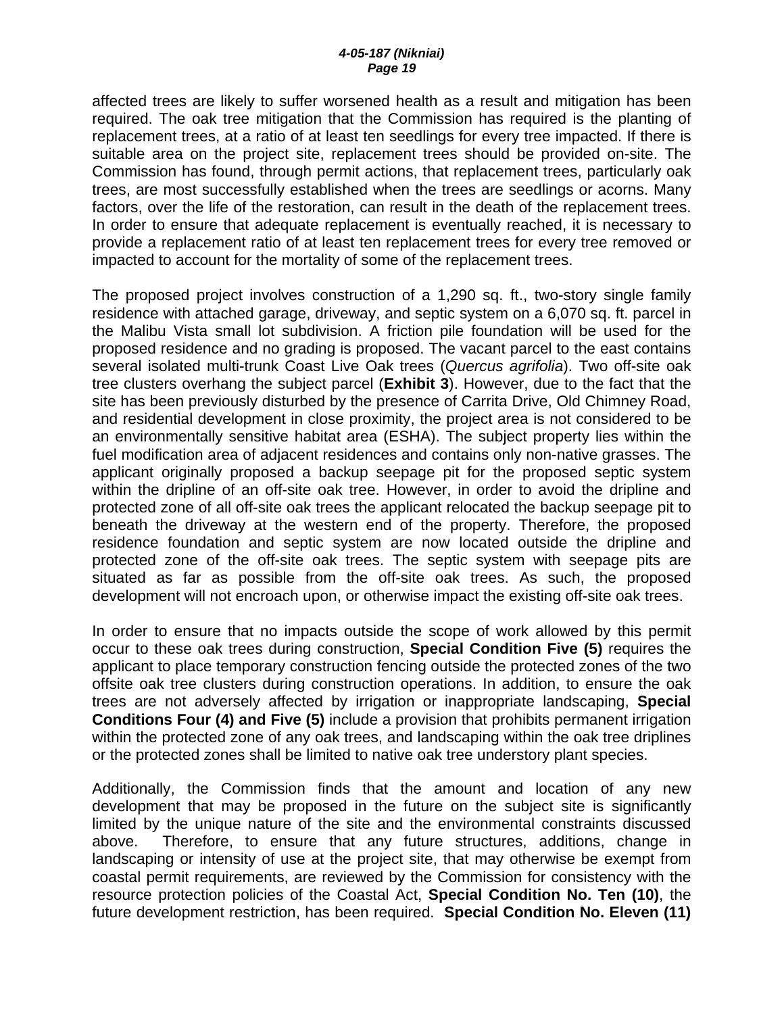affected trees are likely to suffer worsened health as a result and mitigation has been required. The oak tree mitigation that the Commission has required is the planting of replacement trees, at a ratio of at least ten seedlings for every tree impacted. If there is suitable area on the project site, replacement trees should be provided on-site. The Commission has found, through permit actions, that replacement trees, particularly oak trees, are most successfully established when the trees are seedlings or acorns. Many factors, over the life of the restoration, can result in the death of the replacement trees. In order to ensure that adequate replacement is eventually reached, it is necessary to provide a replacement ratio of at least ten replacement trees for every tree removed or impacted to account for the mortality of some of the replacement trees.

The proposed project involves construction of a 1,290 sq. ft., two-story single family residence with attached garage, driveway, and septic system on a 6,070 sq. ft. parcel in the Malibu Vista small lot subdivision. A friction pile foundation will be used for the proposed residence and no grading is proposed. The vacant parcel to the east contains several isolated multi-trunk Coast Live Oak trees (*Quercus agrifolia*). Two off-site oak tree clusters overhang the subject parcel (**Exhibit 3**). However, due to the fact that the site has been previously disturbed by the presence of Carrita Drive, Old Chimney Road, and residential development in close proximity, the project area is not considered to be an environmentally sensitive habitat area (ESHA). The subject property lies within the fuel modification area of adjacent residences and contains only non-native grasses. The applicant originally proposed a backup seepage pit for the proposed septic system within the dripline of an off-site oak tree. However, in order to avoid the dripline and protected zone of all off-site oak trees the applicant relocated the backup seepage pit to beneath the driveway at the western end of the property. Therefore, the proposed residence foundation and septic system are now located outside the dripline and protected zone of the off-site oak trees. The septic system with seepage pits are situated as far as possible from the off-site oak trees. As such, the proposed development will not encroach upon, or otherwise impact the existing off-site oak trees.

In order to ensure that no impacts outside the scope of work allowed by this permit occur to these oak trees during construction, **Special Condition Five (5)** requires the applicant to place temporary construction fencing outside the protected zones of the two offsite oak tree clusters during construction operations. In addition, to ensure the oak trees are not adversely affected by irrigation or inappropriate landscaping, **Special Conditions Four (4) and Five (5)** include a provision that prohibits permanent irrigation within the protected zone of any oak trees, and landscaping within the oak tree driplines or the protected zones shall be limited to native oak tree understory plant species.

Additionally, the Commission finds that the amount and location of any new development that may be proposed in the future on the subject site is significantly limited by the unique nature of the site and the environmental constraints discussed above. Therefore, to ensure that any future structures, additions, change in landscaping or intensity of use at the project site, that may otherwise be exempt from coastal permit requirements, are reviewed by the Commission for consistency with the resource protection policies of the Coastal Act, **Special Condition No. Ten (10)**, the future development restriction, has been required. **Special Condition No. Eleven (11)**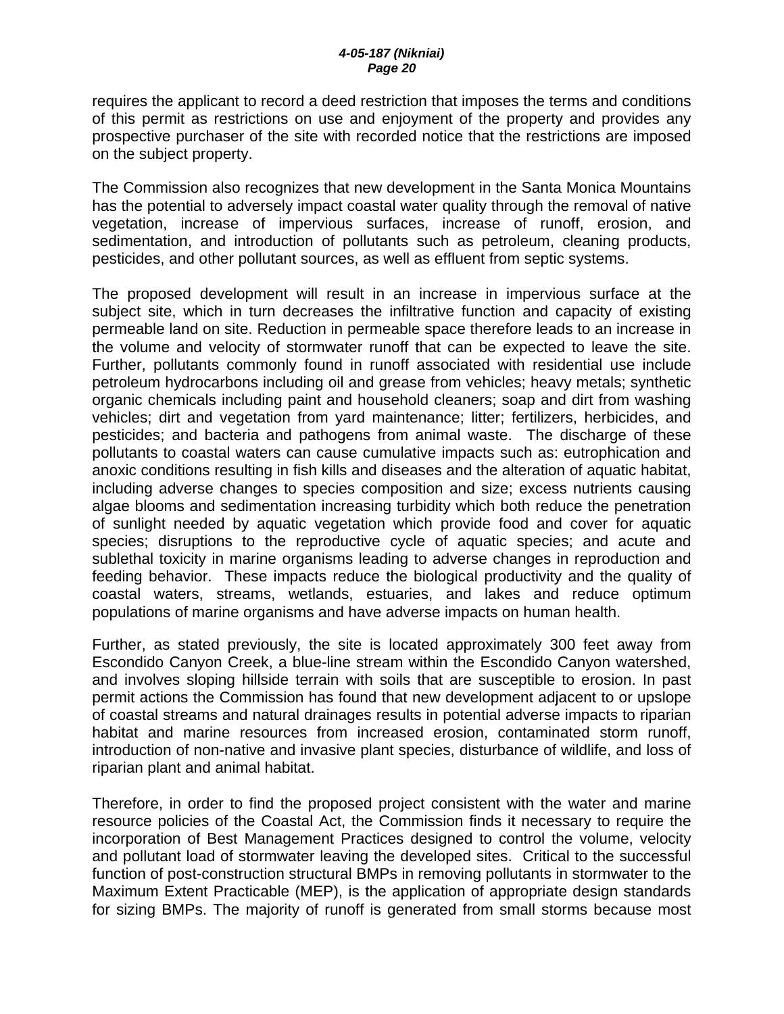requires the applicant to record a deed restriction that imposes the terms and conditions of this permit as restrictions on use and enjoyment of the property and provides any prospective purchaser of the site with recorded notice that the restrictions are imposed on the subject property.

The Commission also recognizes that new development in the Santa Monica Mountains has the potential to adversely impact coastal water quality through the removal of native vegetation, increase of impervious surfaces, increase of runoff, erosion, and sedimentation, and introduction of pollutants such as petroleum, cleaning products, pesticides, and other pollutant sources, as well as effluent from septic systems.

The proposed development will result in an increase in impervious surface at the subject site, which in turn decreases the infiltrative function and capacity of existing permeable land on site. Reduction in permeable space therefore leads to an increase in the volume and velocity of stormwater runoff that can be expected to leave the site. Further, pollutants commonly found in runoff associated with residential use include petroleum hydrocarbons including oil and grease from vehicles; heavy metals; synthetic organic chemicals including paint and household cleaners; soap and dirt from washing vehicles; dirt and vegetation from yard maintenance; litter; fertilizers, herbicides, and pesticides; and bacteria and pathogens from animal waste. The discharge of these pollutants to coastal waters can cause cumulative impacts such as: eutrophication and anoxic conditions resulting in fish kills and diseases and the alteration of aquatic habitat, including adverse changes to species composition and size; excess nutrients causing algae blooms and sedimentation increasing turbidity which both reduce the penetration of sunlight needed by aquatic vegetation which provide food and cover for aquatic species; disruptions to the reproductive cycle of aquatic species; and acute and sublethal toxicity in marine organisms leading to adverse changes in reproduction and feeding behavior. These impacts reduce the biological productivity and the quality of coastal waters, streams, wetlands, estuaries, and lakes and reduce optimum populations of marine organisms and have adverse impacts on human health.

Further, as stated previously, the site is located approximately 300 feet away from Escondido Canyon Creek, a blue-line stream within the Escondido Canyon watershed, and involves sloping hillside terrain with soils that are susceptible to erosion. In past permit actions the Commission has found that new development adjacent to or upslope of coastal streams and natural drainages results in potential adverse impacts to riparian habitat and marine resources from increased erosion, contaminated storm runoff, introduction of non-native and invasive plant species, disturbance of wildlife, and loss of riparian plant and animal habitat.

Therefore, in order to find the proposed project consistent with the water and marine resource policies of the Coastal Act, the Commission finds it necessary to require the incorporation of Best Management Practices designed to control the volume, velocity and pollutant load of stormwater leaving the developed sites. Critical to the successful function of post-construction structural BMPs in removing pollutants in stormwater to the Maximum Extent Practicable (MEP), is the application of appropriate design standards for sizing BMPs. The majority of runoff is generated from small storms because most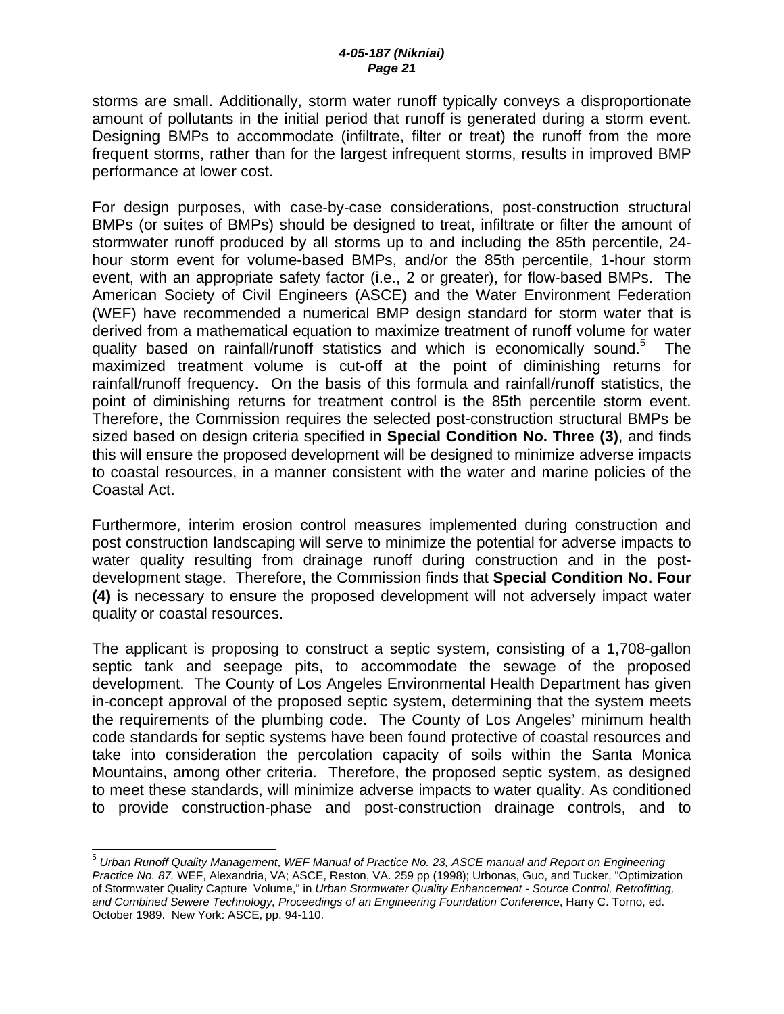storms are small. Additionally, storm water runoff typically conveys a disproportionate amount of pollutants in the initial period that runoff is generated during a storm event. Designing BMPs to accommodate (infiltrate, filter or treat) the runoff from the more frequent storms, rather than for the largest infrequent storms, results in improved BMP performance at lower cost.

For design purposes, with case-by-case considerations, post-construction structural BMPs (or suites of BMPs) should be designed to treat, infiltrate or filter the amount of stormwater runoff produced by all storms up to and including the 85th percentile, 24 hour storm event for volume-based BMPs, and/or the 85th percentile, 1-hour storm event, with an appropriate safety factor (i.e., 2 or greater), for flow-based BMPs. The American Society of Civil Engineers (ASCE) and the Water Environment Federation (WEF) have recommended a numerical BMP design standard for storm water that is derived from a mathematical equation to maximize treatment of runoff volume for water quality based on rainfall/runoff statistics and which is economically sound.<sup>5</sup> The maximized treatment volume is cut-off at the point of diminishing returns for rainfall/runoff frequency. On the basis of this formula and rainfall/runoff statistics, the point of diminishing returns for treatment control is the 85th percentile storm event. Therefore, the Commission requires the selected post-construction structural BMPs be sized based on design criteria specified in **Special Condition No. Three (3)**, and finds this will ensure the proposed development will be designed to minimize adverse impacts to coastal resources, in a manner consistent with the water and marine policies of the Coastal Act.

Furthermore, interim erosion control measures implemented during construction and post construction landscaping will serve to minimize the potential for adverse impacts to water quality resulting from drainage runoff during construction and in the postdevelopment stage. Therefore, the Commission finds that **Special Condition No. Four (4)** is necessary to ensure the proposed development will not adversely impact water quality or coastal resources.

The applicant is proposing to construct a septic system, consisting of a 1,708-gallon septic tank and seepage pits, to accommodate the sewage of the proposed development. The County of Los Angeles Environmental Health Department has given in-concept approval of the proposed septic system, determining that the system meets the requirements of the plumbing code. The County of Los Angeles' minimum health code standards for septic systems have been found protective of coastal resources and take into consideration the percolation capacity of soils within the Santa Monica Mountains, among other criteria. Therefore, the proposed septic system, as designed to meet these standards, will minimize adverse impacts to water quality. As conditioned to provide construction-phase and post-construction drainage controls, and to

 $\overline{\phantom{a}}$ 

<sup>5</sup> *Urban Runoff Quality Management*, *WEF Manual of Practice No. 23, ASCE manual and Report on Engineering Practice No. 87.* WEF, Alexandria, VA; ASCE, Reston, VA. 259 pp (1998); Urbonas, Guo, and Tucker, "Optimization of Stormwater Quality Capture Volume," in *Urban Stormwater Quality Enhancement - Source Control, Retrofitting, and Combined Sewere Technology, Proceedings of an Engineering Foundation Conference*, Harry C. Torno, ed. October 1989. New York: ASCE, pp. 94-110.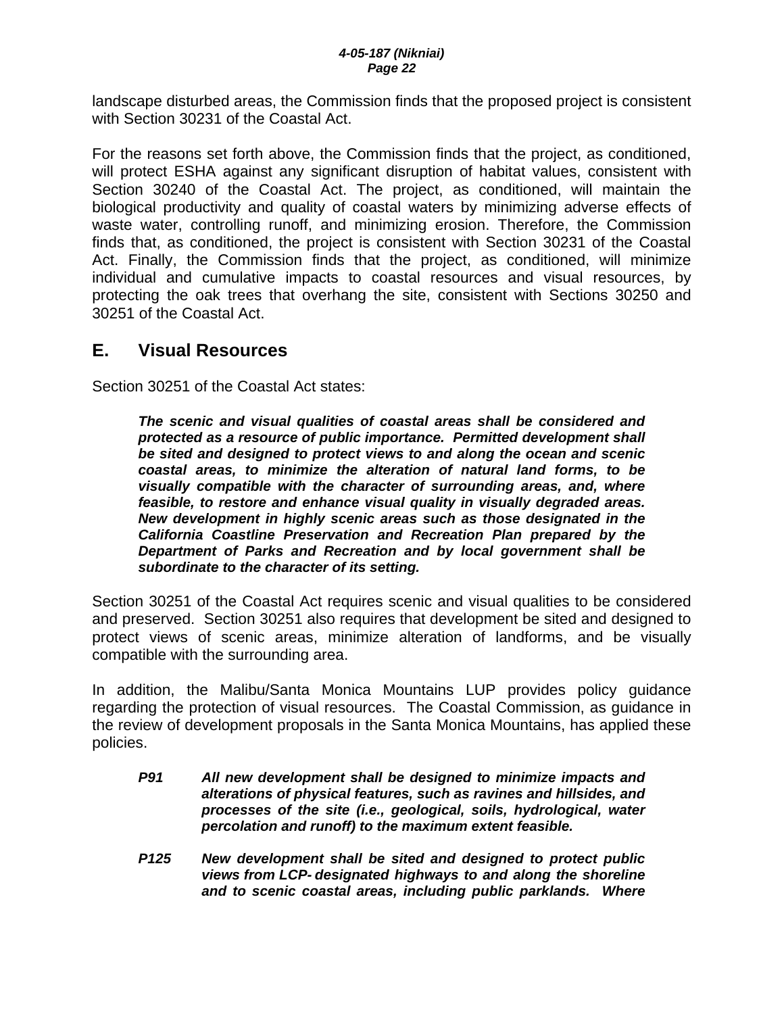landscape disturbed areas, the Commission finds that the proposed project is consistent with Section 30231 of the Coastal Act.

For the reasons set forth above, the Commission finds that the project, as conditioned, will protect ESHA against any significant disruption of habitat values, consistent with Section 30240 of the Coastal Act. The project, as conditioned, will maintain the biological productivity and quality of coastal waters by minimizing adverse effects of waste water, controlling runoff, and minimizing erosion. Therefore, the Commission finds that, as conditioned, the project is consistent with Section 30231 of the Coastal Act. Finally, the Commission finds that the project, as conditioned, will minimize individual and cumulative impacts to coastal resources and visual resources, by protecting the oak trees that overhang the site, consistent with Sections 30250 and 30251 of the Coastal Act.

# **E. Visual Resources**

Section 30251 of the Coastal Act states:

*The scenic and visual qualities of coastal areas shall be considered and protected as a resource of public importance. Permitted development shall be sited and designed to protect views to and along the ocean and scenic coastal areas, to minimize the alteration of natural land forms, to be visually compatible with the character of surrounding areas, and, where feasible, to restore and enhance visual quality in visually degraded areas. New development in highly scenic areas such as those designated in the California Coastline Preservation and Recreation Plan prepared by the Department of Parks and Recreation and by local government shall be subordinate to the character of its setting.* 

Section 30251 of the Coastal Act requires scenic and visual qualities to be considered and preserved. Section 30251 also requires that development be sited and designed to protect views of scenic areas, minimize alteration of landforms, and be visually compatible with the surrounding area.

In addition, the Malibu/Santa Monica Mountains LUP provides policy guidance regarding the protection of visual resources. The Coastal Commission, as guidance in the review of development proposals in the Santa Monica Mountains, has applied these policies.

- *P91 All new development shall be designed to minimize impacts and alterations of physical features, such as ravines and hillsides, and processes of the site (i.e., geological, soils, hydrological, water percolation and runoff) to the maximum extent feasible.*
- *P125 New development shall be sited and designed to protect public views from LCP- designated highways to and along the shoreline and to scenic coastal areas, including public parklands. Where*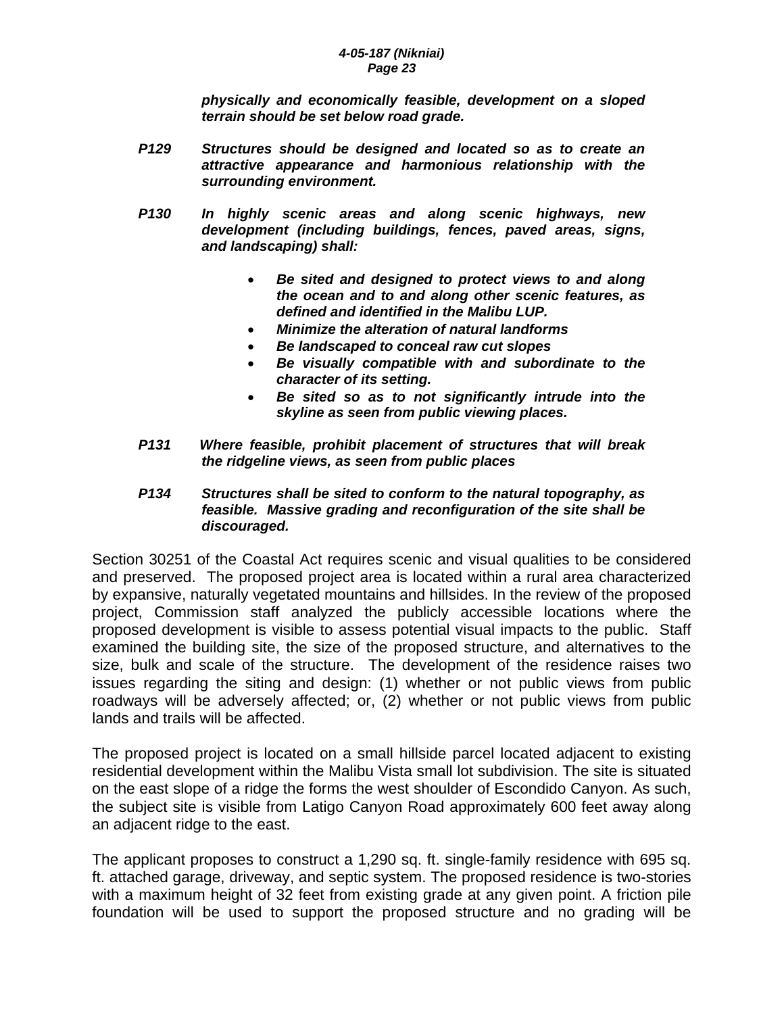*physically and economically feasible, development on a sloped terrain should be set below road grade.* 

- *P129 Structures should be designed and located so as to create an attractive appearance and harmonious relationship with the surrounding environment.*
- *P130 In highly scenic areas and along scenic highways, new development (including buildings, fences, paved areas, signs, and landscaping) shall:* 
	- *Be sited and designed to protect views to and along the ocean and to and along other scenic features, as defined and identified in the Malibu LUP.*
	- *Minimize the alteration of natural landforms*
	- *Be landscaped to conceal raw cut slopes*
	- *Be visually compatible with and subordinate to the character of its setting.*
	- *Be sited so as to not significantly intrude into the skyline as seen from public viewing places.*
- *P131 Where feasible, prohibit placement of structures that will break the ridgeline views, as seen from public places*

### *P134 Structures shall be sited to conform to the natural topography, as feasible. Massive grading and reconfiguration of the site shall be discouraged.*

Section 30251 of the Coastal Act requires scenic and visual qualities to be considered and preserved. The proposed project area is located within a rural area characterized by expansive, naturally vegetated mountains and hillsides. In the review of the proposed project, Commission staff analyzed the publicly accessible locations where the proposed development is visible to assess potential visual impacts to the public. Staff examined the building site, the size of the proposed structure, and alternatives to the size, bulk and scale of the structure. The development of the residence raises two issues regarding the siting and design: (1) whether or not public views from public roadways will be adversely affected; or, (2) whether or not public views from public lands and trails will be affected.

The proposed project is located on a small hillside parcel located adjacent to existing residential development within the Malibu Vista small lot subdivision. The site is situated on the east slope of a ridge the forms the west shoulder of Escondido Canyon. As such, the subject site is visible from Latigo Canyon Road approximately 600 feet away along an adjacent ridge to the east.

The applicant proposes to construct a 1,290 sq. ft. single-family residence with 695 sq. ft. attached garage, driveway, and septic system. The proposed residence is two-stories with a maximum height of 32 feet from existing grade at any given point. A friction pile foundation will be used to support the proposed structure and no grading will be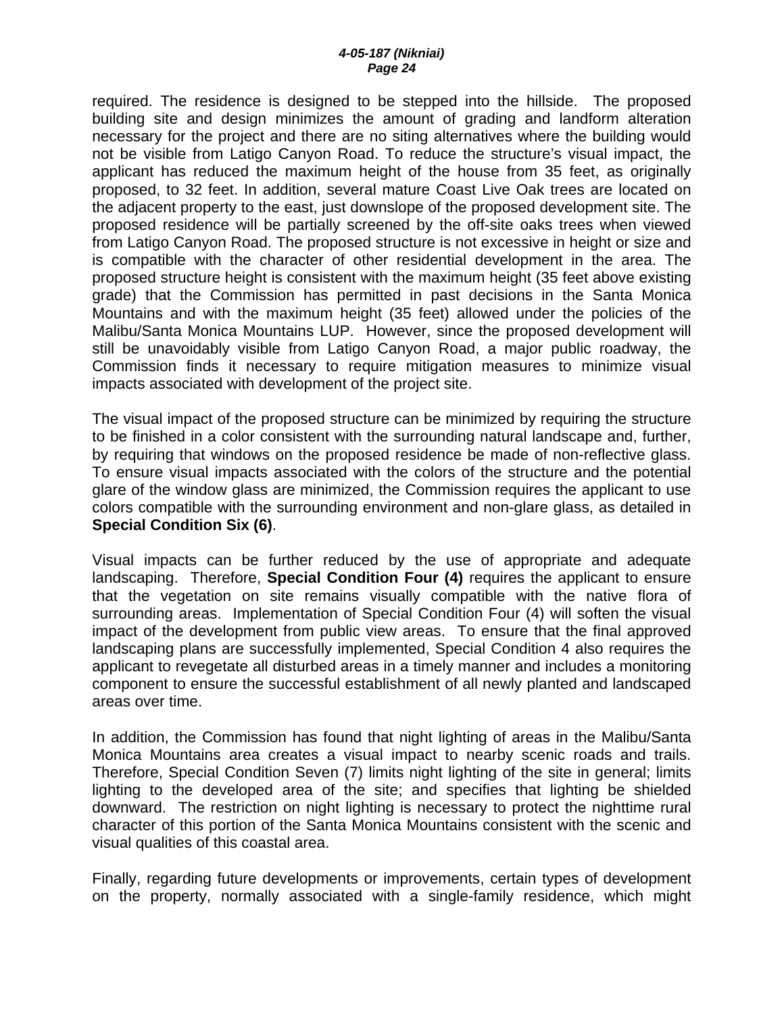required. The residence is designed to be stepped into the hillside. The proposed building site and design minimizes the amount of grading and landform alteration necessary for the project and there are no siting alternatives where the building would not be visible from Latigo Canyon Road. To reduce the structure's visual impact, the applicant has reduced the maximum height of the house from 35 feet, as originally proposed, to 32 feet. In addition, several mature Coast Live Oak trees are located on the adjacent property to the east, just downslope of the proposed development site. The proposed residence will be partially screened by the off-site oaks trees when viewed from Latigo Canyon Road. The proposed structure is not excessive in height or size and is compatible with the character of other residential development in the area. The proposed structure height is consistent with the maximum height (35 feet above existing grade) that the Commission has permitted in past decisions in the Santa Monica Mountains and with the maximum height (35 feet) allowed under the policies of the Malibu/Santa Monica Mountains LUP. However, since the proposed development will still be unavoidably visible from Latigo Canyon Road, a major public roadway, the Commission finds it necessary to require mitigation measures to minimize visual impacts associated with development of the project site.

The visual impact of the proposed structure can be minimized by requiring the structure to be finished in a color consistent with the surrounding natural landscape and, further, by requiring that windows on the proposed residence be made of non-reflective glass. To ensure visual impacts associated with the colors of the structure and the potential glare of the window glass are minimized, the Commission requires the applicant to use colors compatible with the surrounding environment and non-glare glass, as detailed in **Special Condition Six (6)**.

Visual impacts can be further reduced by the use of appropriate and adequate landscaping. Therefore, **Special Condition Four (4)** requires the applicant to ensure that the vegetation on site remains visually compatible with the native flora of surrounding areas. Implementation of Special Condition Four (4) will soften the visual impact of the development from public view areas. To ensure that the final approved landscaping plans are successfully implemented, Special Condition 4 also requires the applicant to revegetate all disturbed areas in a timely manner and includes a monitoring component to ensure the successful establishment of all newly planted and landscaped areas over time.

In addition, the Commission has found that night lighting of areas in the Malibu/Santa Monica Mountains area creates a visual impact to nearby scenic roads and trails. Therefore, Special Condition Seven (7) limits night lighting of the site in general; limits lighting to the developed area of the site; and specifies that lighting be shielded downward. The restriction on night lighting is necessary to protect the nighttime rural character of this portion of the Santa Monica Mountains consistent with the scenic and visual qualities of this coastal area.

Finally, regarding future developments or improvements, certain types of development on the property, normally associated with a single-family residence, which might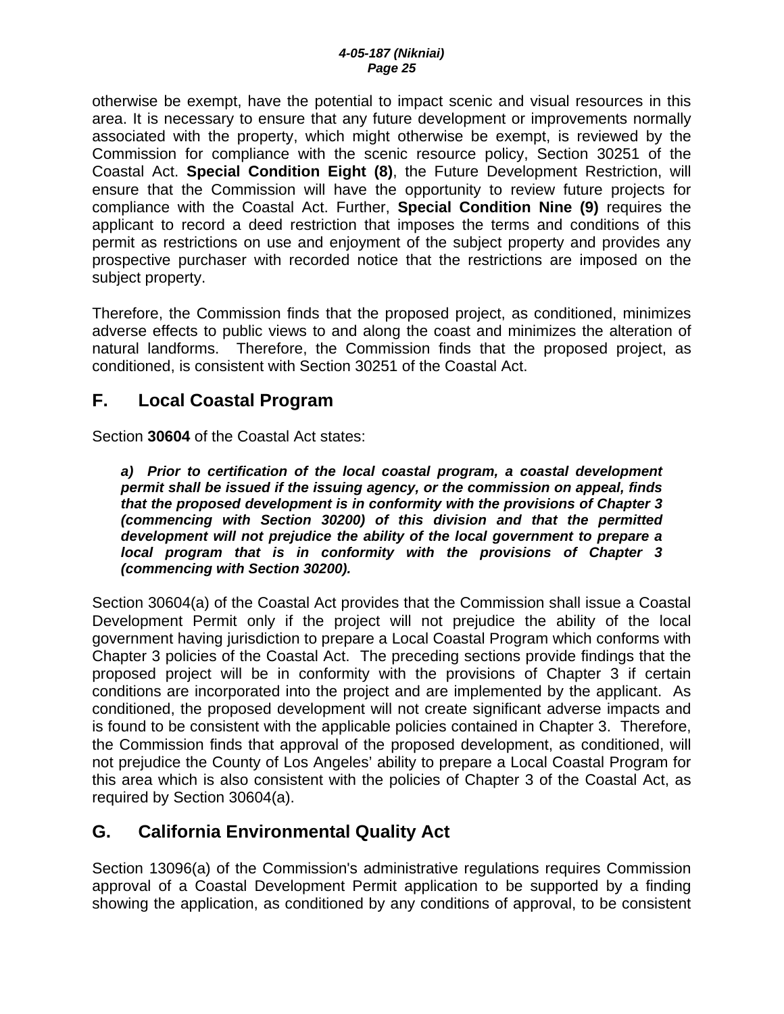otherwise be exempt, have the potential to impact scenic and visual resources in this area. It is necessary to ensure that any future development or improvements normally associated with the property, which might otherwise be exempt, is reviewed by the Commission for compliance with the scenic resource policy, Section 30251 of the Coastal Act. **Special Condition Eight (8)**, the Future Development Restriction, will ensure that the Commission will have the opportunity to review future projects for compliance with the Coastal Act. Further, **Special Condition Nine (9)** requires the applicant to record a deed restriction that imposes the terms and conditions of this permit as restrictions on use and enjoyment of the subject property and provides any prospective purchaser with recorded notice that the restrictions are imposed on the subject property.

Therefore, the Commission finds that the proposed project, as conditioned, minimizes adverse effects to public views to and along the coast and minimizes the alteration of natural landforms. Therefore, the Commission finds that the proposed project, as conditioned, is consistent with Section 30251 of the Coastal Act.

# **F. Local Coastal Program**

Section **30604** of the Coastal Act states:

*a) Prior to certification of the local coastal program, a coastal development permit shall be issued if the issuing agency, or the commission on appeal, finds that the proposed development is in conformity with the provisions of Chapter 3 (commencing with Section 30200) of this division and that the permitted development will not prejudice the ability of the local government to prepare a local program that is in conformity with the provisions of Chapter 3 (commencing with Section 30200).* 

Section 30604(a) of the Coastal Act provides that the Commission shall issue a Coastal Development Permit only if the project will not prejudice the ability of the local government having jurisdiction to prepare a Local Coastal Program which conforms with Chapter 3 policies of the Coastal Act. The preceding sections provide findings that the proposed project will be in conformity with the provisions of Chapter 3 if certain conditions are incorporated into the project and are implemented by the applicant. As conditioned, the proposed development will not create significant adverse impacts and is found to be consistent with the applicable policies contained in Chapter 3. Therefore, the Commission finds that approval of the proposed development, as conditioned, will not prejudice the County of Los Angeles' ability to prepare a Local Coastal Program for this area which is also consistent with the policies of Chapter 3 of the Coastal Act, as required by Section 30604(a).

# **G. California Environmental Quality Act**

Section 13096(a) of the Commission's administrative regulations requires Commission approval of a Coastal Development Permit application to be supported by a finding showing the application, as conditioned by any conditions of approval, to be consistent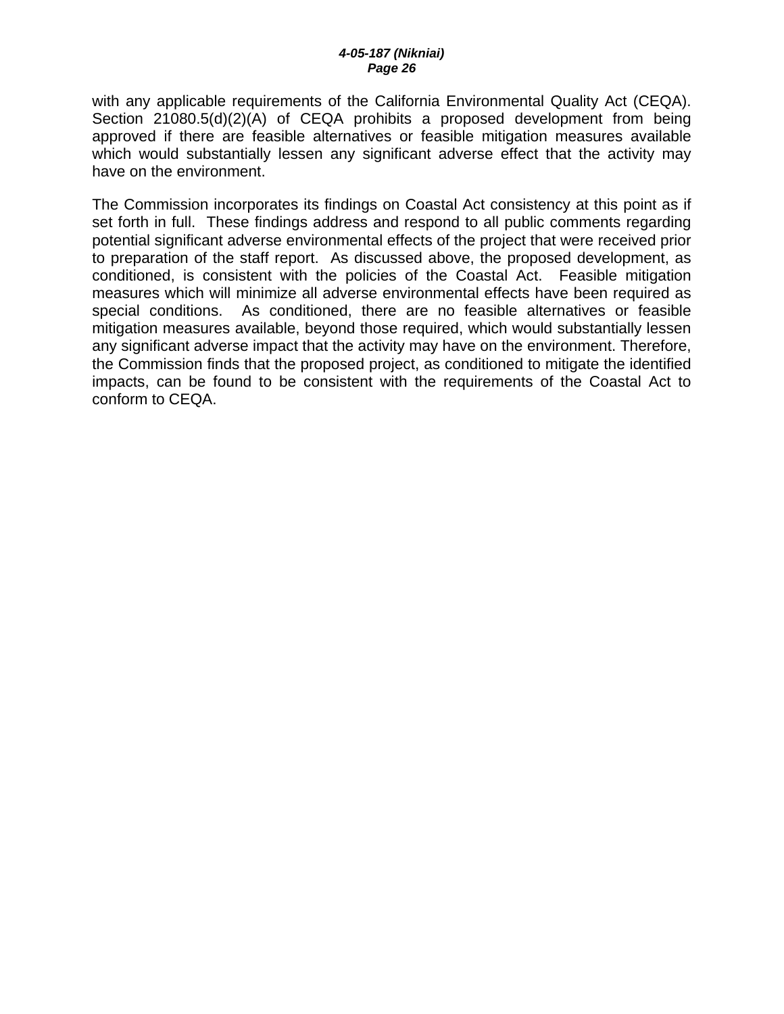with any applicable requirements of the California Environmental Quality Act (CEQA). Section 21080.5(d)(2)(A) of CEQA prohibits a proposed development from being approved if there are feasible alternatives or feasible mitigation measures available which would substantially lessen any significant adverse effect that the activity may have on the environment.

The Commission incorporates its findings on Coastal Act consistency at this point as if set forth in full. These findings address and respond to all public comments regarding potential significant adverse environmental effects of the project that were received prior to preparation of the staff report. As discussed above, the proposed development, as conditioned, is consistent with the policies of the Coastal Act. Feasible mitigation measures which will minimize all adverse environmental effects have been required as special conditions. As conditioned, there are no feasible alternatives or feasible mitigation measures available, beyond those required, which would substantially lessen any significant adverse impact that the activity may have on the environment. Therefore, the Commission finds that the proposed project, as conditioned to mitigate the identified impacts, can be found to be consistent with the requirements of the Coastal Act to conform to CEQA.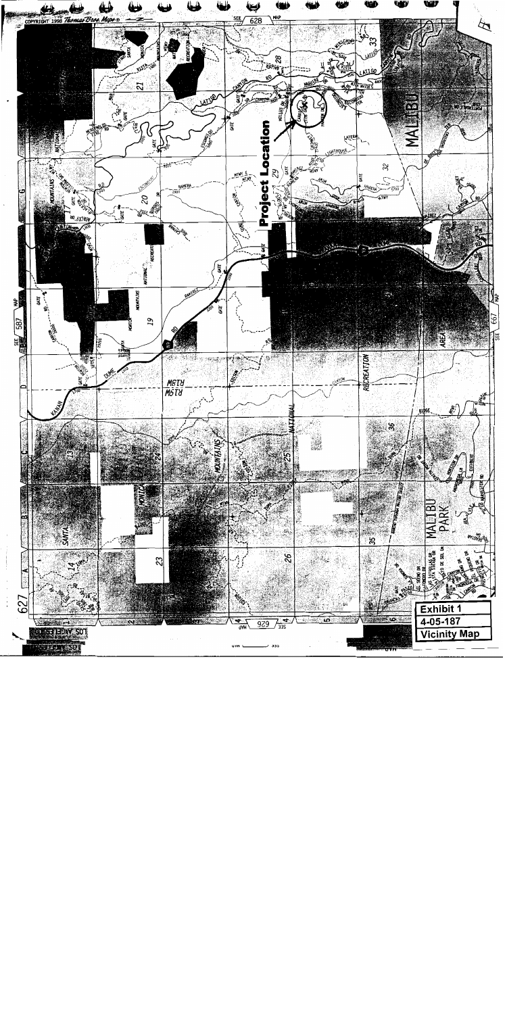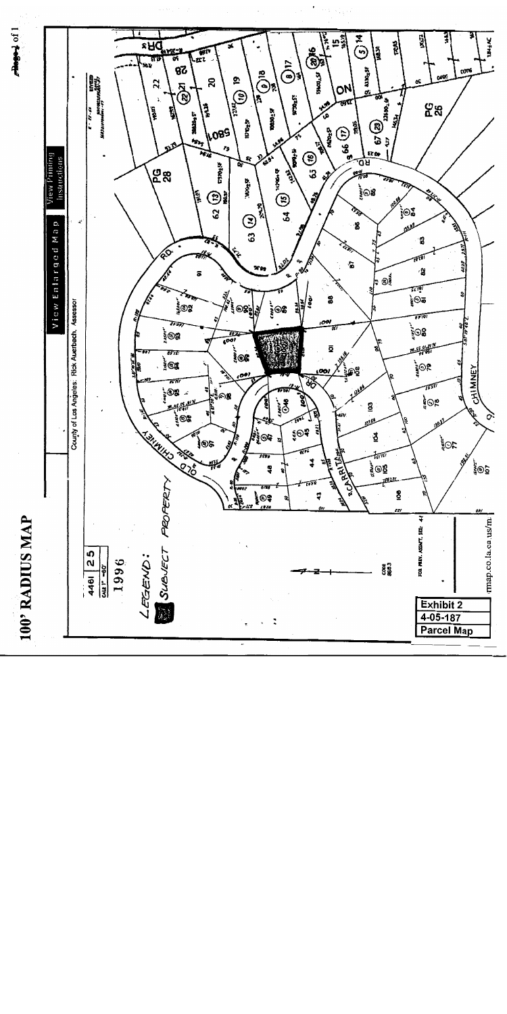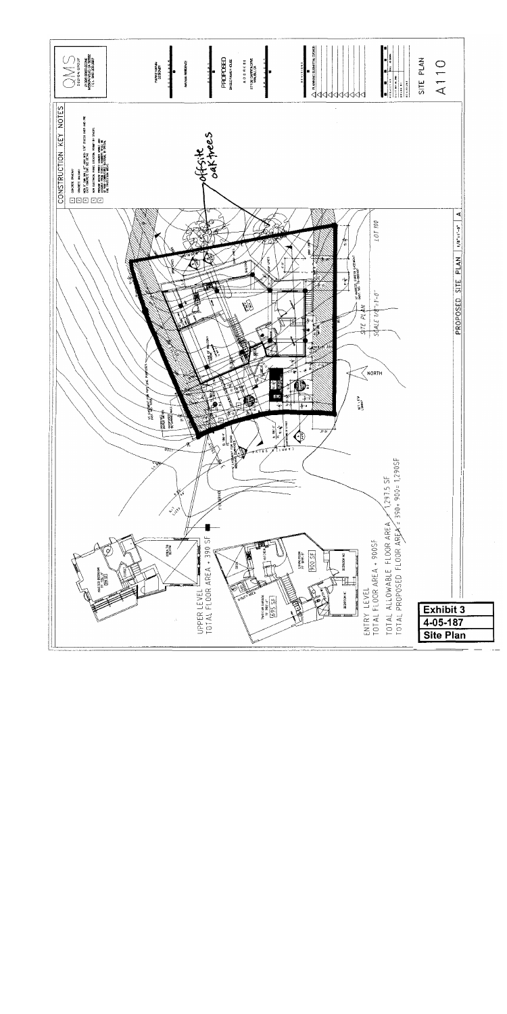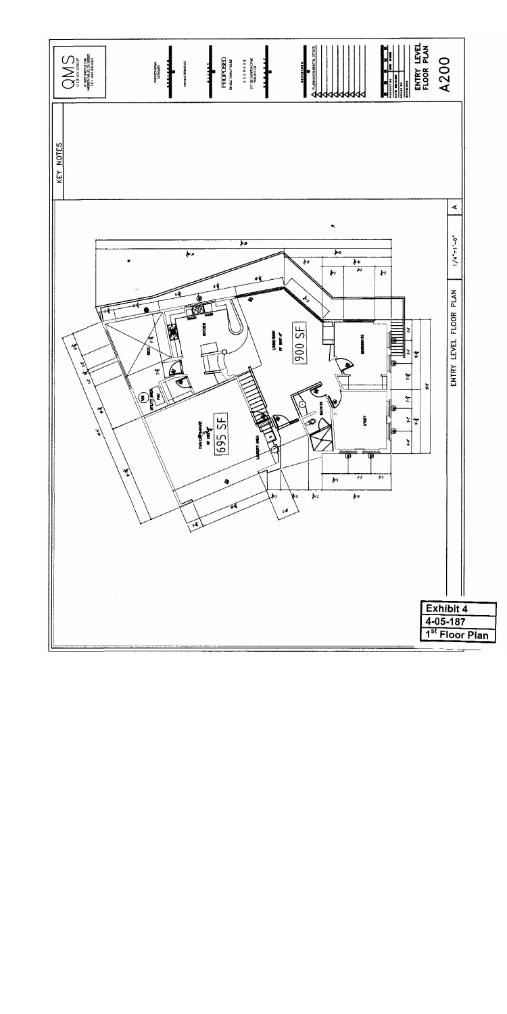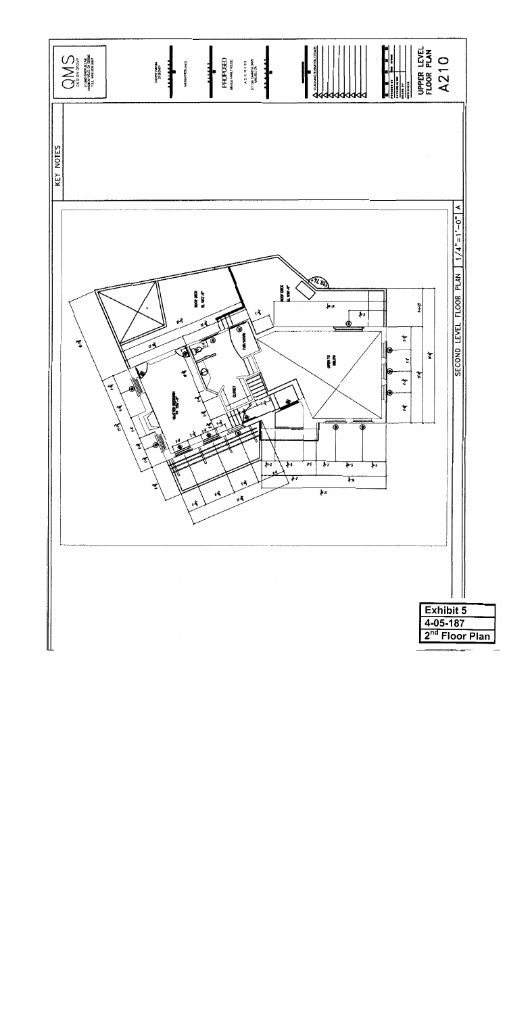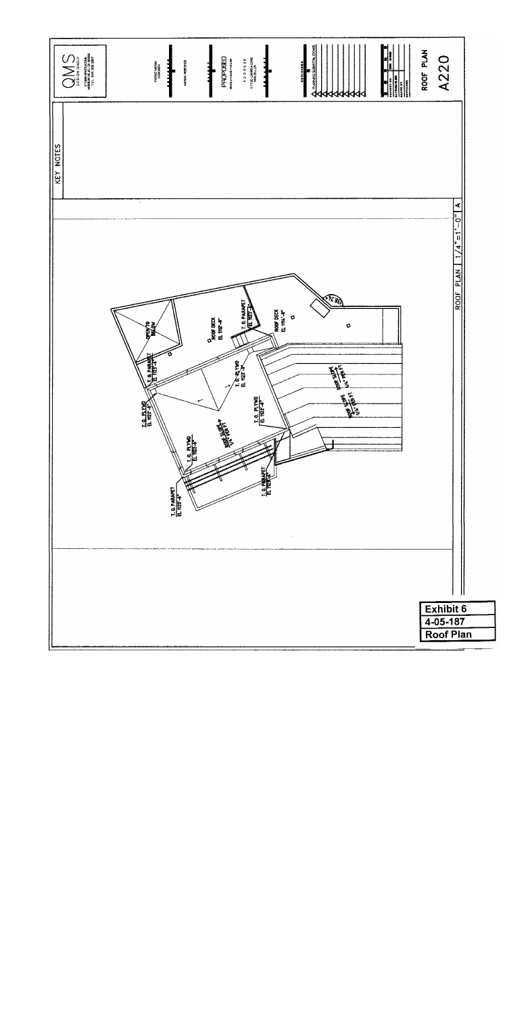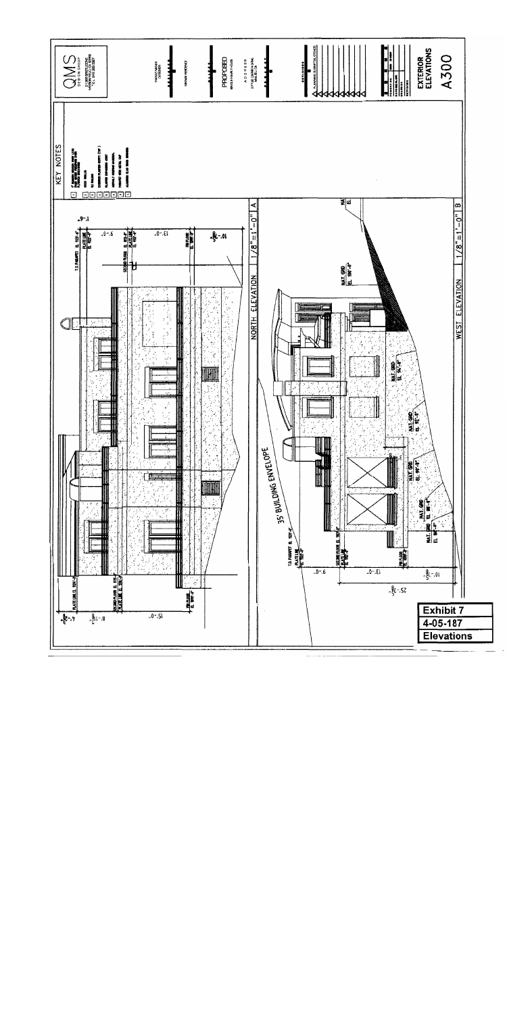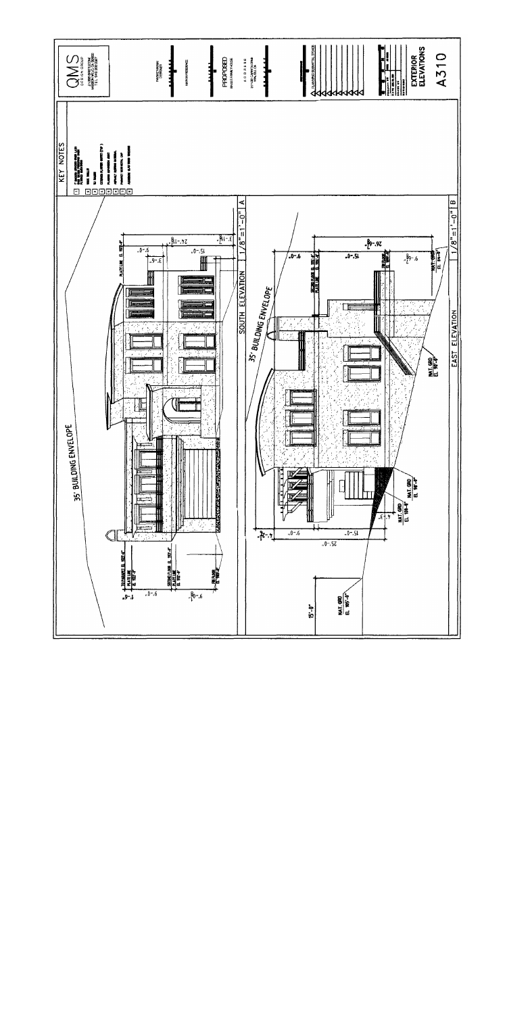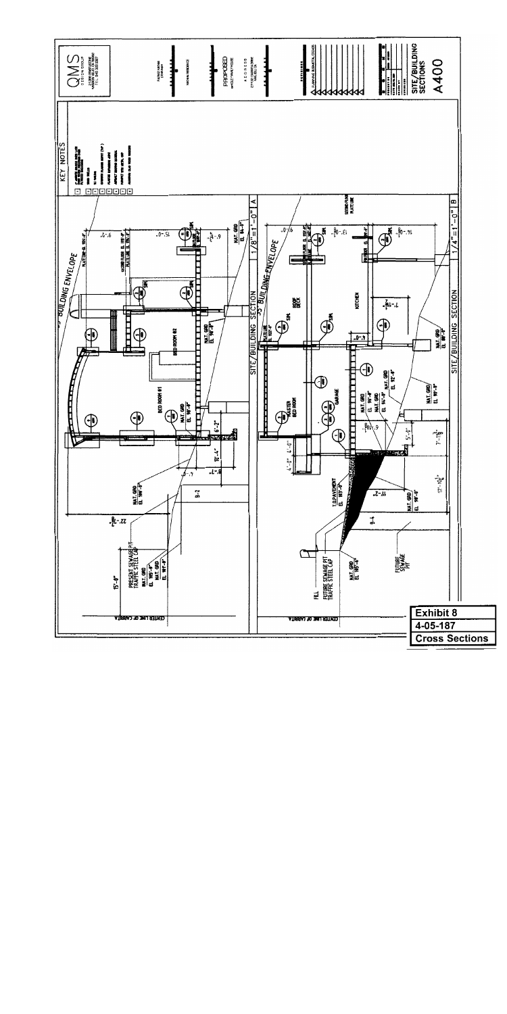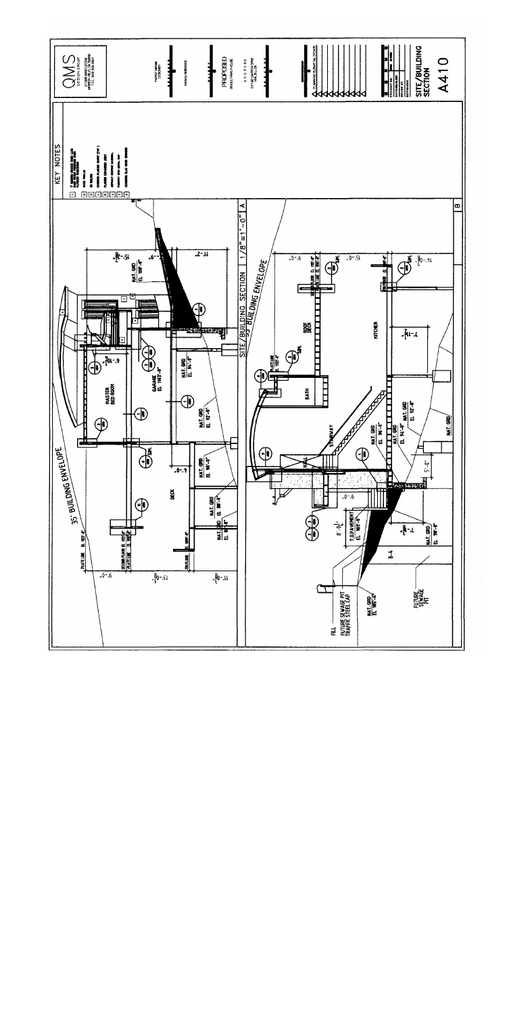